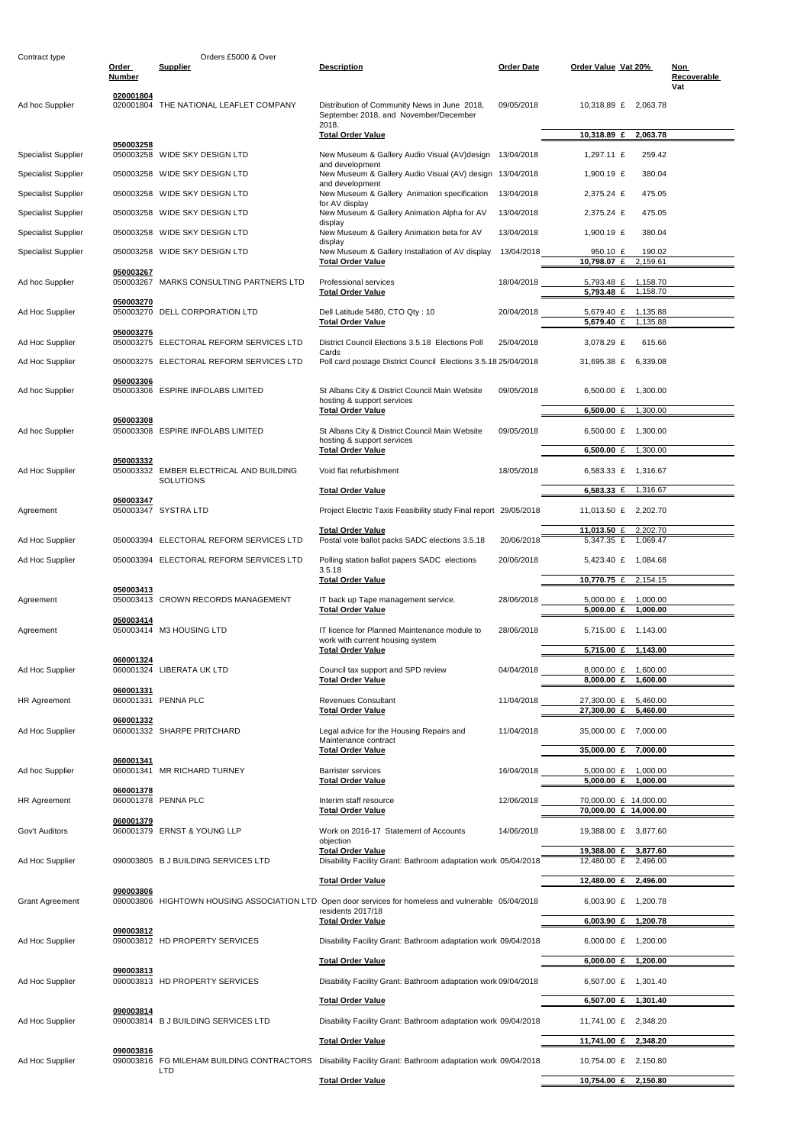| Contract type              |                        | Orders £5000 & Over                        |                                                                                                                                      |                   |                                                             |                           |
|----------------------------|------------------------|--------------------------------------------|--------------------------------------------------------------------------------------------------------------------------------------|-------------------|-------------------------------------------------------------|---------------------------|
|                            | Order<br><b>Number</b> | <b>Supplier</b>                            | <b>Description</b>                                                                                                                   | <b>Order Date</b> | Order Value Vat 20%                                         | Non<br>Recoverable<br>Vat |
| Ad hoc Supplier            | 020001804              | 020001804 THE NATIONAL LEAFLET COMPANY     | Distribution of Community News in June 2018,<br>September 2018, and November/December<br>2018.                                       | 09/05/2018        | 10,318.89 £ 2,063.78                                        |                           |
|                            |                        |                                            | <b>Total Order Value</b>                                                                                                             |                   | 2,063.78<br>10,318.89 £                                     |                           |
| <b>Specialist Supplier</b> | 050003258              | 050003258 WIDE SKY DESIGN LTD              | New Museum & Gallery Audio Visual (AV) design 13/04/2018                                                                             |                   | 1,297.11 £<br>259.42                                        |                           |
| <b>Specialist Supplier</b> |                        | 050003258 WIDE SKY DESIGN LTD              | and development<br>New Museum & Gallery Audio Visual (AV) design 13/04/2018                                                          |                   | 1,900.19 $E$<br>380.04                                      |                           |
| <b>Specialist Supplier</b> |                        | 050003258 WIDE SKY DESIGN LTD              | and development<br>New Museum & Gallery Animation specification                                                                      | 13/04/2018        | 2,375.24 £<br>475.05                                        |                           |
| <b>Specialist Supplier</b> |                        | 050003258 WIDE SKY DESIGN LTD              | for AV display<br>New Museum & Gallery Animation Alpha for AV                                                                        | 13/04/2018        | 475.05<br>2,375.24 £                                        |                           |
| <b>Specialist Supplier</b> |                        | 050003258 WIDE SKY DESIGN LTD              | display<br>New Museum & Gallery Animation beta for AV                                                                                | 13/04/2018        | 380.04<br>1,900.19 $E$                                      |                           |
| <b>Specialist Supplier</b> |                        | 050003258 WIDE SKY DESIGN LTD              | display<br>New Museum & Gallery Installation of AV display<br><b>Total Order Value</b>                                               | 13/04/2018        | 190.02<br>950.10 £<br>10,798.07 $\overline{f}$<br>2,159.61  |                           |
| Ad hoc Supplier            | 050003267              | 050003267 MARKS CONSULTING PARTNERS LTD    | <b>Professional services</b><br><b>Total Order Value</b>                                                                             | 18/04/2018        | 5,793.48 £<br>1,158.70<br>$5,793.48 \tE$<br>1,158.70        |                           |
| Ad Hoc Supplier            | 050003270              | 050003270 DELL CORPORATION LTD             | Dell Latitude 5480, CTO Qty: 10<br><b>Total Order Value</b>                                                                          | 20/04/2018        | 5,679.40 £ 1,135.88<br>$5,679.40$ £<br>1.135.88             |                           |
| Ad Hoc Supplier            | 050003275              | 050003275 ELECTORAL REFORM SERVICES LTD    | District Council Elections 3.5.18 Elections Poll<br>Cards                                                                            | 25/04/2018        | 3,078.29 £<br>615.66                                        |                           |
| Ad Hoc Supplier            |                        | 050003275 ELECTORAL REFORM SERVICES LTD    | Poll card postage District Council Elections 3.5.18 25/04/2018                                                                       |                   | 31,695.38 £<br>6,339.08                                     |                           |
| Ad hoc Supplier            | 050003306              | 050003306 ESPIRE INFOLABS LIMITED          | St Albans City & District Council Main Website<br>hosting & support services                                                         | 09/05/2018        | 6,500.00 £<br>1,300.00                                      |                           |
|                            | 050003308              |                                            | <b>Total Order Value</b>                                                                                                             |                   | 1,300.00<br>6,500.00 $E$                                    |                           |
| Ad hoc Supplier            |                        | 050003308 ESPIRE INFOLABS LIMITED          | St Albans City & District Council Main Website<br>hosting & support services                                                         | 09/05/2018        | 6,500.00 £<br>1,300.00                                      |                           |
|                            | 050003332              | 050003332 EMBER ELECTRICAL AND BUILDING    | <b>Total Order Value</b><br>Void flat refurbishment                                                                                  |                   | 6,500.00 $E$<br>1,300.00                                    |                           |
| Ad Hoc Supplier            |                        | <b>SOLUTIONS</b>                           |                                                                                                                                      | 18/05/2018        | $6,583.33$ £<br>1,316.67<br>1,316.67                        |                           |
|                            | 050003347              |                                            | <b>Total Order Value</b>                                                                                                             |                   | 6,583.33 $E$                                                |                           |
| Agreement                  |                        | 050003347 SYSTRA LTD                       | Project Electric Taxis Feasibility study Final report 29/05/2018                                                                     |                   | 11,013.50 £ 2,202.70                                        |                           |
| Ad Hoc Supplier            |                        | 050003394 ELECTORAL REFORM SERVICES LTD    | <b>Total Order Value</b><br>Postal vote ballot packs SADC elections 3.5.18                                                           | 20/06/2018        | 2,202.70<br>11,013.50 £<br>5,347.35 £<br>1,069.47           |                           |
| Ad Hoc Supplier            |                        | 050003394 ELECTORAL REFORM SERVICES LTD    | Polling station ballot papers SADC elections<br>3.5.18                                                                               | 20/06/2018        | 5,423.40 £ 1,084.68                                         |                           |
|                            | 050003413              |                                            | <b>Total Order Value</b>                                                                                                             |                   | 10,770.75 £<br>2,154.15                                     |                           |
| Agreement                  |                        | 050003413 CROWN RECORDS MANAGEMENT         | IT back up Tape management service.<br><b>Total Order Value</b>                                                                      | 28/06/2018        | 5,000.00 £ 1,000.00<br>5,000.00 $E$<br>1,000.00             |                           |
| Agreement                  | 050003414              | 050003414 M3 HOUSING LTD                   | IT licence for Planned Maintenance module to<br>work with current housing system<br><b>Total Order Value</b>                         | 28/06/2018        | 5,715.00 £ 1,143.00<br>5,715.00 £ 1,143.00                  |                           |
| Ad Hoc Supplier            | 060001324              | 060001324 LIBERATA UK LTD                  | Council tax support and SPD review<br><b>Total Order Value</b>                                                                       | 04/04/2018        | 8,000.00 £ 1,600.00<br>8,000.00 £<br>1,600.00               |                           |
| <b>HR Agreement</b>        | 060001331              | 060001331 PENNA PLC                        | <b>Revenues Consultant</b><br><b>Total Order Value</b>                                                                               | 11/04/2018        | 27,300.00 £<br>5,460.00<br>27,300.00 £<br>5,460.00          |                           |
| Ad Hoc Supplier            | 060001332              | 060001332 SHARPE PRITCHARD                 | Legal advice for the Housing Repairs and                                                                                             | 11/04/2018        | 35,000.00 £ 7,000.00                                        |                           |
|                            | 060001341              |                                            | Maintenance contract<br><b>Total Order Value</b>                                                                                     |                   | 35,000.00 £ 7,000.00                                        |                           |
| Ad hoc Supplier            |                        | 060001341 MR RICHARD TURNEY                | <b>Barrister services</b><br><b>Total Order Value</b>                                                                                | 16/04/2018        | $5,000.00$ £<br>1,000.00<br>5,000.00 $\epsilon$<br>1,000.00 |                           |
| <b>HR Agreement</b>        | 060001378              | 060001378 PENNA PLC                        | Interim staff resource<br><b>Total Order Value</b>                                                                                   | 12/06/2018        | 70,000.00 £ 14,000.00<br>70,000.00 £ 14,000.00              |                           |
| Gov't Auditors             | 060001379              | 060001379 ERNST & YOUNG LLP                | Work on 2016-17 Statement of Accounts<br>objection                                                                                   | 14/06/2018        | 19,388.00 £ 3,877.60                                        |                           |
| Ad Hoc Supplier            |                        | 090003805 B J BUILDING SERVICES LTD        | <b>Total Order Value</b><br>Disability Facility Grant: Bathroom adaptation work 05/04/2018                                           |                   | 19,388.00 £<br>3,877.60<br>12,480.00 £ 2,496.00             |                           |
|                            | 090003806              |                                            | <b>Total Order Value</b>                                                                                                             |                   | 12,480.00 £ 2,496.00                                        |                           |
| <b>Grant Agreement</b>     |                        | 090003806 HIGHTOWN HOUSING ASSOCIATION LTD | Open door services for homeless and vulnerable 05/04/2018<br>residents 2017/18                                                       |                   | 6,003.90 £ 1,200.78                                         |                           |
|                            | 090003812              |                                            | <b>Total Order Value</b>                                                                                                             |                   | $6,003.90 \t£ 1,200.78$                                     |                           |
| Ad Hoc Supplier            |                        | 090003812 HD PROPERTY SERVICES             | Disability Facility Grant: Bathroom adaptation work 09/04/2018                                                                       |                   | 6,000.00 £ 1,200.00                                         |                           |
|                            | 090003813              |                                            | <b>Total Order Value</b>                                                                                                             |                   | 6,000.00 £ 1,200.00                                         |                           |
| Ad Hoc Supplier            |                        | 090003813 HD PROPERTY SERVICES             | Disability Facility Grant: Bathroom adaptation work 09/04/2018<br><b>Total Order Value</b>                                           |                   | 6,507.00 £ 1,301.40                                         |                           |
|                            | 090003814              |                                            |                                                                                                                                      |                   | 6,507.00 £ 1,301.40                                         |                           |
| Ad Hoc Supplier            |                        | 090003814 B J BUILDING SERVICES LTD        | Disability Facility Grant: Bathroom adaptation work 09/04/2018                                                                       |                   | 11,741.00 £ 2,348.20<br>2,348.20                            |                           |
|                            | 090003816              |                                            | <b>Total Order Value</b>                                                                                                             |                   | 11,741.00 £<br>10,754.00 £ 2,150.80                         |                           |
| Ad Hoc Supplier            |                        | <b>LTD</b>                                 | 090003816 FG MILEHAM BUILDING CONTRACTORS Disability Facility Grant: Bathroom adaptation work 09/04/2018<br><b>Total Order Value</b> |                   | 10,754.00 £ 2,150.80                                        |                           |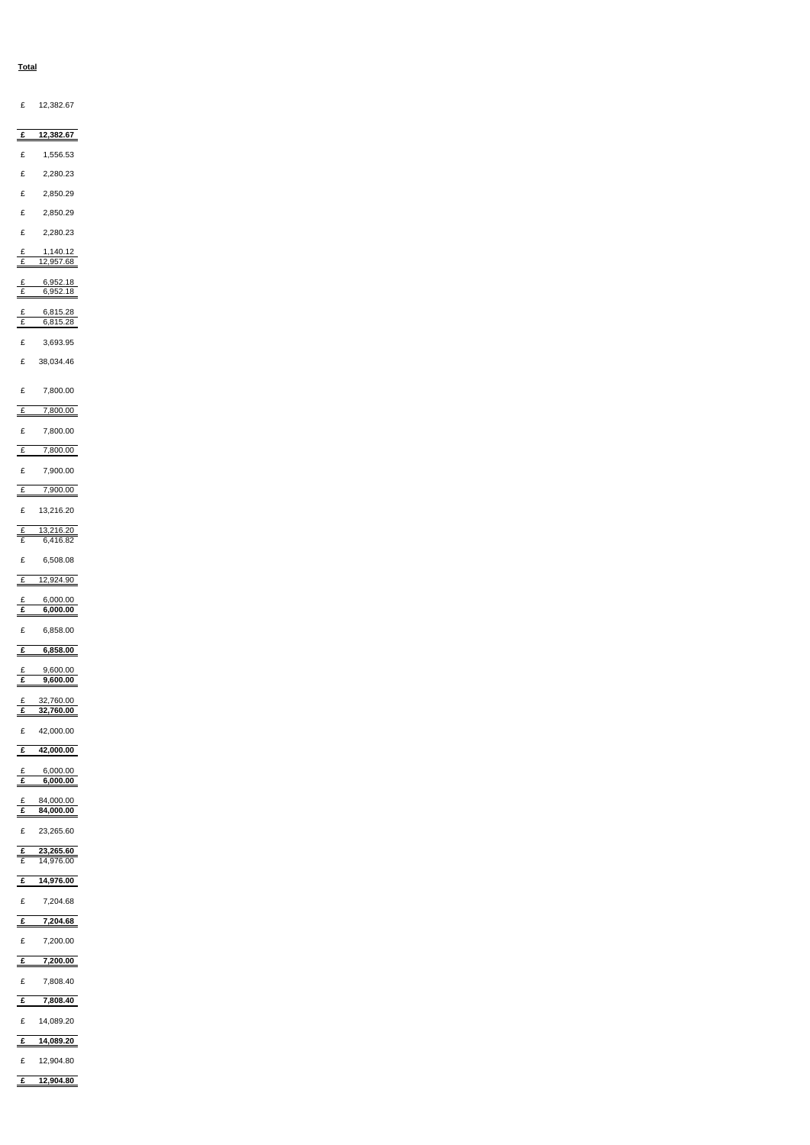#### **Total**

| £ 12,382.67                                            |  |  |  |
|--------------------------------------------------------|--|--|--|
| 12,382.67<br>£                                         |  |  |  |
| $\pounds$<br>1,556.53                                  |  |  |  |
| $\pounds$<br>2,280.23                                  |  |  |  |
| $\pounds$<br>2,850.29                                  |  |  |  |
| $\pounds$<br>2,850.29                                  |  |  |  |
| $\pounds$<br>2,280.23                                  |  |  |  |
| 1,140.12<br>$\frac{f}{f}$<br>12,957.68                 |  |  |  |
| 6,952.18<br>£<br>$\mathbf{f}$<br>6,952.18              |  |  |  |
| 6,815.28<br>£                                          |  |  |  |
| $\mathbf{f}$<br>6,815.28                               |  |  |  |
| £<br>3,693.95                                          |  |  |  |
| $\pounds$<br>38,034.46                                 |  |  |  |
| £<br>7,800.00                                          |  |  |  |
| $\frac{f}{f}$<br>7,800.00                              |  |  |  |
| $\pounds$<br>7,800.00                                  |  |  |  |
| 7,800.00<br>$\mathbf{f}$                               |  |  |  |
| $\pounds$<br>7,900.00<br>7,900.00<br>$\overline{f}$    |  |  |  |
| £<br>13,216.20                                         |  |  |  |
| $\frac{13,216.20}{6,416.82}$<br>$rac{f}{f}$            |  |  |  |
|                                                        |  |  |  |
| $\pounds$<br>6,508.08<br>12,924.90<br>$\overline{f}$   |  |  |  |
| 6,000.00                                               |  |  |  |
| $rac{f}{f}$<br>6,000.00                                |  |  |  |
| $\pounds$<br>6,858.00                                  |  |  |  |
| $\mathbf{f}$<br>6,858.00                               |  |  |  |
| 9,600.00<br>£<br>$\overline{f}$<br>9,600.00            |  |  |  |
| 32,760.00<br>£<br>32,760.00<br>£                       |  |  |  |
| £<br>42,000.00                                         |  |  |  |
| 42,000.00<br>£                                         |  |  |  |
| 6,000.00<br>$\mathbf{f}$<br>$\overline{f}$<br>6,000.00 |  |  |  |
| 84,000.00<br>£                                         |  |  |  |
| $\overline{f}$<br>84,000.00                            |  |  |  |
| £<br>23,265.60                                         |  |  |  |

**£ 23,265.60** £ 14,976.00

| $\mathbf{f}$ | 14,976.00 |
|--------------|-----------|
|              |           |
| £            | 7,204.68  |
| £            | 7,204.68  |
|              |           |
| $\pounds$    | 7,200.00  |
| £            |           |
|              | 7,200.00  |
| £            | 7,808.40  |
| £            | 7,808.40  |
|              |           |
| £            | 14,089.20 |
| £            | 14,089.20 |
|              |           |
| £            | 12,904.80 |
| £            | 12,904.80 |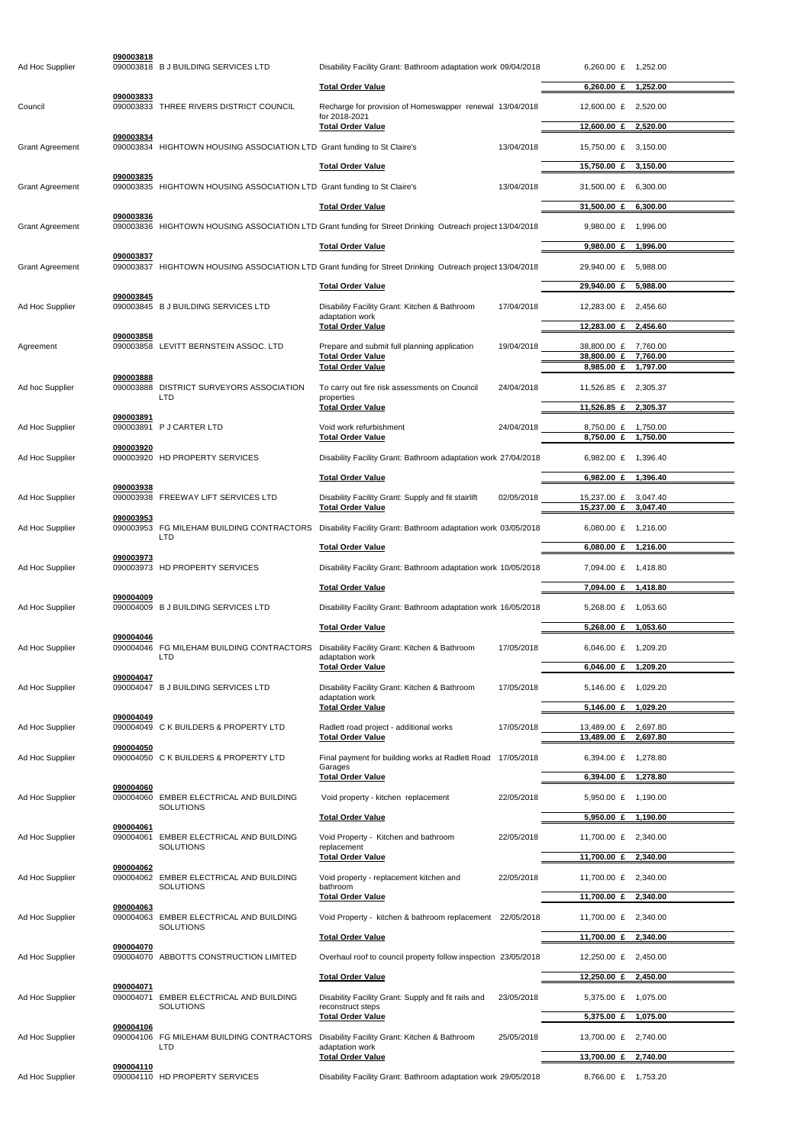| Ad Hoc Supplier        | 090003818 | 090003818 B J BUILDING SERVICES LTD                                     | Disability Facility Grant: Bathroom adaptation work 09/04/2018                                           |            | 6,260.00 £ 1,252.00               |                      |
|------------------------|-----------|-------------------------------------------------------------------------|----------------------------------------------------------------------------------------------------------|------------|-----------------------------------|----------------------|
|                        |           |                                                                         | <b>Total Order Value</b>                                                                                 |            | 6,260.00 $E$                      | 1,252.00             |
| Council                | 090003833 | 090003833 THREE RIVERS DISTRICT COUNCIL                                 | Recharge for provision of Homeswapper renewal 13/04/2018                                                 |            | 12,600.00 £                       | 2,520.00             |
|                        |           |                                                                         | for 2018-2021<br><b>Total Order Value</b>                                                                |            | 12,600.00 £                       | 2,520.00             |
| <b>Grant Agreement</b> | 090003834 | 090003834 HIGHTOWN HOUSING ASSOCIATION LTD Grant funding to St Claire's |                                                                                                          | 13/04/2018 | 15,750.00 £                       | 3.150.00             |
|                        |           |                                                                         | <b>Total Order Value</b>                                                                                 |            | 15,750.00 £                       | 3,150.00             |
| <b>Grant Agreement</b> | 090003835 | 090003835 HIGHTOWN HOUSING ASSOCIATION LTD Grant funding to St Claire's |                                                                                                          | 13/04/2018 | 31,500.00 £                       | 6.300.00             |
|                        |           |                                                                         | <b>Total Order Value</b>                                                                                 |            | 31,500.00 £                       | 6,300.00             |
| <b>Grant Agreement</b> | 090003836 |                                                                         | 090003836 HIGHTOWN HOUSING ASSOCIATION LTD Grant funding for Street Drinking Outreach project 13/04/2018 |            | 9,980.00 $E$                      | 1,996.00             |
|                        |           |                                                                         | <b>Total Order Value</b>                                                                                 |            | $9,980.00 \text{ } \pounds$       | 1,996.00             |
| <b>Grant Agreement</b> | 090003837 |                                                                         | 090003837 HIGHTOWN HOUSING ASSOCIATION LTD Grant funding for Street Drinking Outreach project 13/04/2018 |            | 29,940.00 £                       | 5.988.00             |
|                        | 090003845 |                                                                         | <b>Total Order Value</b>                                                                                 |            | 29,940.00 £                       | 5,988.00             |
| Ad Hoc Supplier        |           | 090003845 B J BUILDING SERVICES LTD                                     | Disability Facility Grant: Kitchen & Bathroom<br>adaptation work                                         | 17/04/2018 | 12,283.00 £                       | 2,456.60             |
|                        | 090003858 |                                                                         | <b>Total Order Value</b>                                                                                 |            | 12,283.00 £                       | 2,456.60             |
| Agreement              |           | 090003858 LEVITT BERNSTEIN ASSOC. LTD                                   | Prepare and submit full planning application<br><b>Total Order Value</b>                                 | 19/04/2018 | 38,800.00 £<br>38,800.00 £        | 7,760.00<br>7,760.00 |
|                        | 090003888 |                                                                         | <b>Total Order Value</b>                                                                                 |            | 8,985.00 £                        | 1,797.00             |
| Ad hoc Supplier        | 090003888 | <b>DISTRICT SURVEYORS ASSOCIATION</b><br>LTD                            | To carry out fire risk assessments on Council<br>properties                                              | 24/04/2018 | 11,526.85 £                       | 2,305.37             |
|                        | 090003891 |                                                                         | <b>Total Order Value</b>                                                                                 |            | 11,526.85 £                       | 2,305.37             |
| Ad Hoc Supplier        | 090003891 | <b>P J CARTER LTD</b>                                                   | Void work refurbishment<br><b>Total Order Value</b>                                                      | 24/04/2018 | 8,750.00 £<br>8,750.00 £          | 1,750.00<br>1,750.00 |
| Ad Hoc Supplier        | 090003920 | 090003920 HD PROPERTY SERVICES                                          | Disability Facility Grant: Bathroom adaptation work 27/04/2018                                           |            | 6,982.00 £                        | 1,396.40             |
|                        |           |                                                                         | <b>Total Order Value</b>                                                                                 |            | $6.982.00 \tE$                    | 1,396.40             |
| Ad Hoc Supplier        | 090003938 | 090003938 FREEWAY LIFT SERVICES LTD                                     | Disability Facility Grant: Supply and fit stairlift                                                      | 02/05/2018 | 15,237.00 £                       | 3,047.40             |
|                        | 090003953 |                                                                         | <b>Total Order Value</b>                                                                                 |            | 15,237.00 £                       | 3,047.40             |
| Ad Hoc Supplier        |           | 090003953 FG MILEHAM BUILDING CONTRACTORS<br><b>LTD</b>                 | Disability Facility Grant: Bathroom adaptation work 03/05/2018                                           |            | 6,080.00 £ 1,216.00               |                      |
|                        | 090003973 |                                                                         | <b>Total Order Value</b>                                                                                 |            | 6,080.00 £                        | 1,216.00             |
| Ad Hoc Supplier        |           | 090003973 HD PROPERTY SERVICES                                          | Disability Facility Grant: Bathroom adaptation work 10/05/2018                                           |            | 7,094.00 £ 1,418.80               |                      |
|                        | 090004009 |                                                                         | <b>Total Order Value</b>                                                                                 |            | 7,094.00 £                        | 1,418.80             |
| Ad Hoc Supplier        |           | 090004009 B J BUILDING SERVICES LTD                                     | Disability Facility Grant: Bathroom adaptation work 16/05/2018                                           |            | 5,268.00 £ 1,053.60               |                      |
|                        | 090004046 |                                                                         | <b>Total Order Value</b>                                                                                 |            | 5,268.00 £                        | 1,053.60             |
| Ad Hoc Supplier        | 090004046 | FG MILEHAM BUILDING CONTRACTORS<br>LTD                                  | Disability Facility Grant: Kitchen & Bathroom<br>adaptation work                                         | 17/05/2018 | 6,046.00 £ 1,209.20               |                      |
| Ad Hoc Supplier        | 090004047 | 090004047 B J BUILDING SERVICES LTD                                     | <b>Total Order Value</b><br>Disability Facility Grant: Kitchen & Bathroom                                | 17/05/2018 | 6,046.00 $£$<br>5,146.00 £        | 1,209.20<br>1,029.20 |
|                        |           |                                                                         | adaptation work<br><b>Total Order Value</b>                                                              |            | 5,146.00 £                        | 1,029.20             |
| Ad Hoc Supplier        | 090004049 | 090004049 C K BUILDERS & PROPERTY LTD                                   | Radlett road project - additional works                                                                  | 17/05/2018 | 13,489.00 £                       | 2,697.80             |
|                        | 090004050 |                                                                         | <b>Total Order Value</b>                                                                                 |            | 13,489.00 £                       | 2,697.80             |
| Ad Hoc Supplier        |           | 090004050 C K BUILDERS & PROPERTY LTD                                   | Final payment for building works at Radlett Road 17/05/2018<br>Garages                                   |            | 6,394.00 £                        | 1,278.80             |
|                        | 090004060 |                                                                         | <b>Total Order Value</b>                                                                                 |            | 6,394.00 £ 1,278.80               |                      |
| Ad Hoc Supplier        | 090004060 | EMBER ELECTRICAL AND BUILDING<br><b>SOLUTIONS</b>                       | Void property - kitchen replacement                                                                      | 22/05/2018 | 5,950.00 £ 1,190.00               |                      |
|                        | 090004061 |                                                                         | <b>Total Order Value</b>                                                                                 |            | 5,950.00 £                        | 1,190.00             |
| Ad Hoc Supplier        | 090004061 | <b>EMBER ELECTRICAL AND BUILDING</b><br><b>SOLUTIONS</b>                | Void Property - Kitchen and bathroom<br>replacement                                                      | 22/05/2018 | 11,700.00 £                       | 2,340.00             |
|                        | 090004062 |                                                                         | <b>Total Order Value</b>                                                                                 |            | 11,700.00 £                       | 2,340.00             |
| Ad Hoc Supplier        |           | 090004062 EMBER ELECTRICAL AND BUILDING<br><b>SOLUTIONS</b>             | Void property - replacement kitchen and<br>bathroom                                                      | 22/05/2018 | 11,700.00 £ 2,340.00              |                      |
|                        | 090004063 | 090004063 EMBER ELECTRICAL AND BUILDING<br><b>SOLUTIONS</b>             | <b>Total Order Value</b>                                                                                 |            | 11,700.00 £                       | 2,340.00             |
| Ad Hoc Supplier        |           |                                                                         | Void Property - kitchen & bathroom replacement 22/05/2018                                                |            | 11,700.00 £ 2,340.00              |                      |
|                        | 090004070 |                                                                         | <b>Total Order Value</b>                                                                                 |            | 11,700.00 £                       | 2,340.00             |
| Ad Hoc Supplier        |           | 090004070 ABBOTTS CONSTRUCTION LIMITED                                  | Overhaul roof to council property follow inspection 23/05/2018                                           |            | 12,250.00 £ 2,450.00              |                      |
|                        | 090004071 |                                                                         | <b>Total Order Value</b>                                                                                 | 23/05/2018 | 12,250.00 £                       | 2,450.00             |
| Ad Hoc Supplier        | 090004071 | EMBER ELECTRICAL AND BUILDING<br><b>SOLUTIONS</b>                       | Disability Facility Grant: Supply and fit rails and<br>reconstruct steps                                 |            | 5,375.00 £ 1,075.00<br>5,375.00 £ | 1,075.00             |
| Ad Hoc Supplier        | 090004106 | 090004106 FG MILEHAM BUILDING CONTRACTORS                               | <b>Total Order Value</b><br>Disability Facility Grant: Kitchen & Bathroom                                | 25/05/2018 | 13,700.00 £ 2,740.00              |                      |
|                        |           | LTD                                                                     | adaptation work<br><b>Total Order Value</b>                                                              |            | 13,700.00 £                       | 2,740.00             |
| Ad Hoc Supplier        | 090004110 | 090004110 HD PROPERTY SERVICES                                          | Disability Facility Grant: Bathroom adaptation work 29/05/2018                                           |            | 8,766.00 £ 1,753.20               |                      |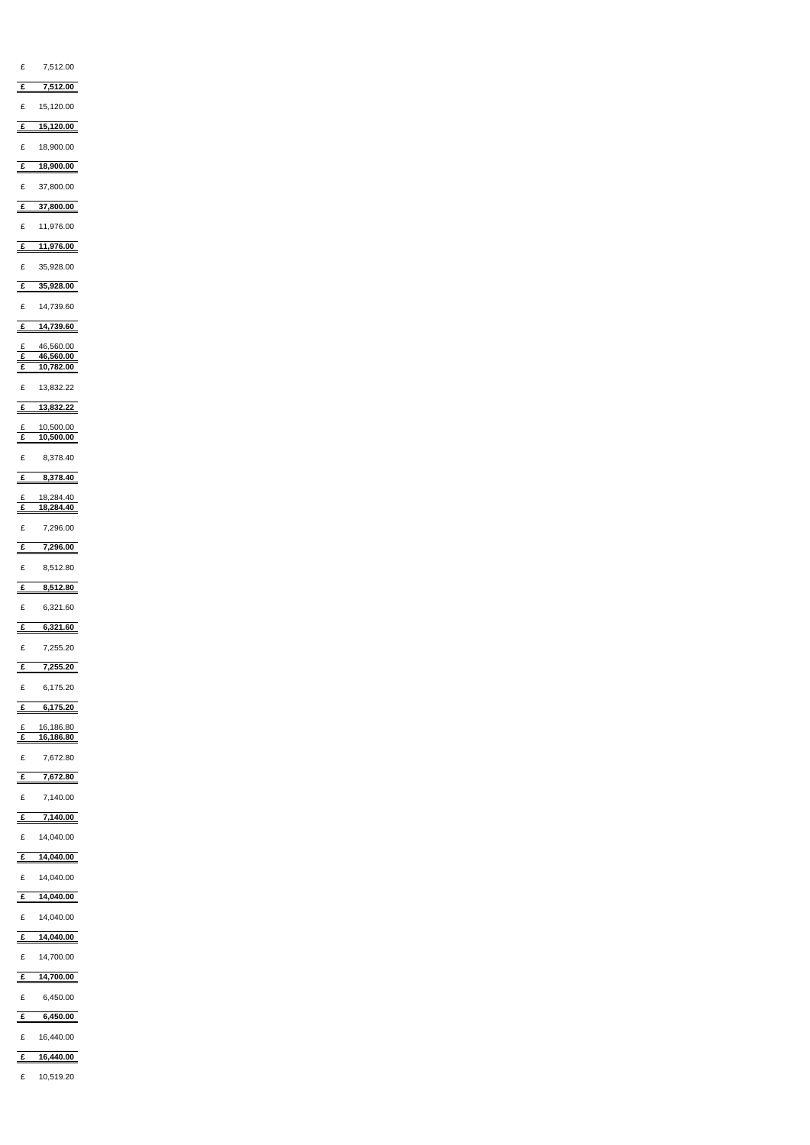| £                                    | 7,512.00                            |
|--------------------------------------|-------------------------------------|
| $\mathbf{f}$                         | 7,512.00                            |
| £                                    | 15,120.00                           |
| $\triangleq$                         | 15,120.00                           |
| $\mathbf f$                          | 18,900.00                           |
| $\mathbf{f}$                         | 18,900.00                           |
| £                                    | 37,800.00                           |
| $\mathbf{f}$                         | 37,800.00                           |
|                                      |                                     |
| £                                    | 11,976.00                           |
| $\triangleq$                         | 11,976.00                           |
| £                                    | 35,928.00                           |
| $\triangleq$                         | 35,928.00                           |
| £                                    | 14,739.60                           |
| $\frac{f}{f}$                        | 14,739.60                           |
|                                      | 46,560.00                           |
| $\frac{f}{f}$                        | 46,560.00<br>$\overline{10,782.00}$ |
| $\overline{\phantom{0}}$             |                                     |
| £                                    | 13,832.22                           |
| $\mathbf{f}$                         | 13,832.22                           |
| $rac{f}{f}$                          | 10,500.00<br>10,500.00              |
|                                      |                                     |
| £                                    | 8,378.40                            |
|                                      | $\frac{2}{1}$ 8,378.40              |
| $rac{f}{f}$                          | 18,284.40<br>18,284.40              |
| £                                    | 7,296.00                            |
|                                      |                                     |
| $\mathbf{f}$                         | 7,296.00                            |
| £                                    | 8,512.80                            |
| $\mathbf{f}$                         | 8,512.80                            |
| £                                    | 6,321.60                            |
| $\triangle$                          | 6,321.60                            |
| £                                    | 7,255.20                            |
| $\underline{\underline{\mathbf{f}}}$ | 7,255.20                            |
|                                      |                                     |
| £                                    | 6,175.20                            |
| $\mathbf{f}$                         | 6,175.20                            |
| $rac{f}{f}$                          | 16,186.80                           |
|                                      | 16,186.80                           |
| $\pounds$                            | 7,672.80                            |
| $\mathbf{f}$                         | 7,672.80                            |
| £                                    | 7,140.00                            |
| $\mathbf{f}$                         | 7,140.00                            |
| E                                    | 14,040.00                           |
|                                      | £ 14,040.00                         |

| £ | 14,040.00 |
|---|-----------|
|---|-----------|

### **£ 14,040.00**

£ 14,040.00

# **£ 14,040.00**

£ 14,700.00

### **£ 14,700.00**

£ 6,450.00

## **£ 6,450.00**

£ 16,440.00

### **£ 16,440.00**

#### £ 10,519.20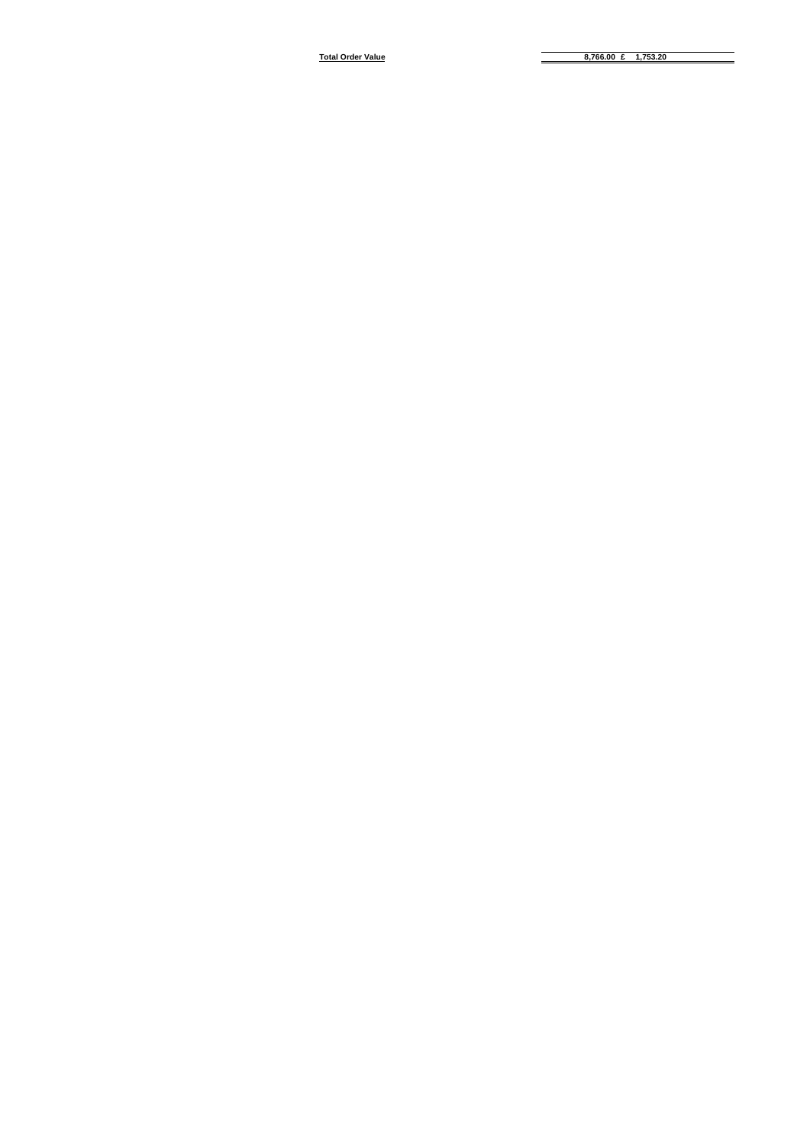**Total Order Value 8,766.00 £ 1,753.20**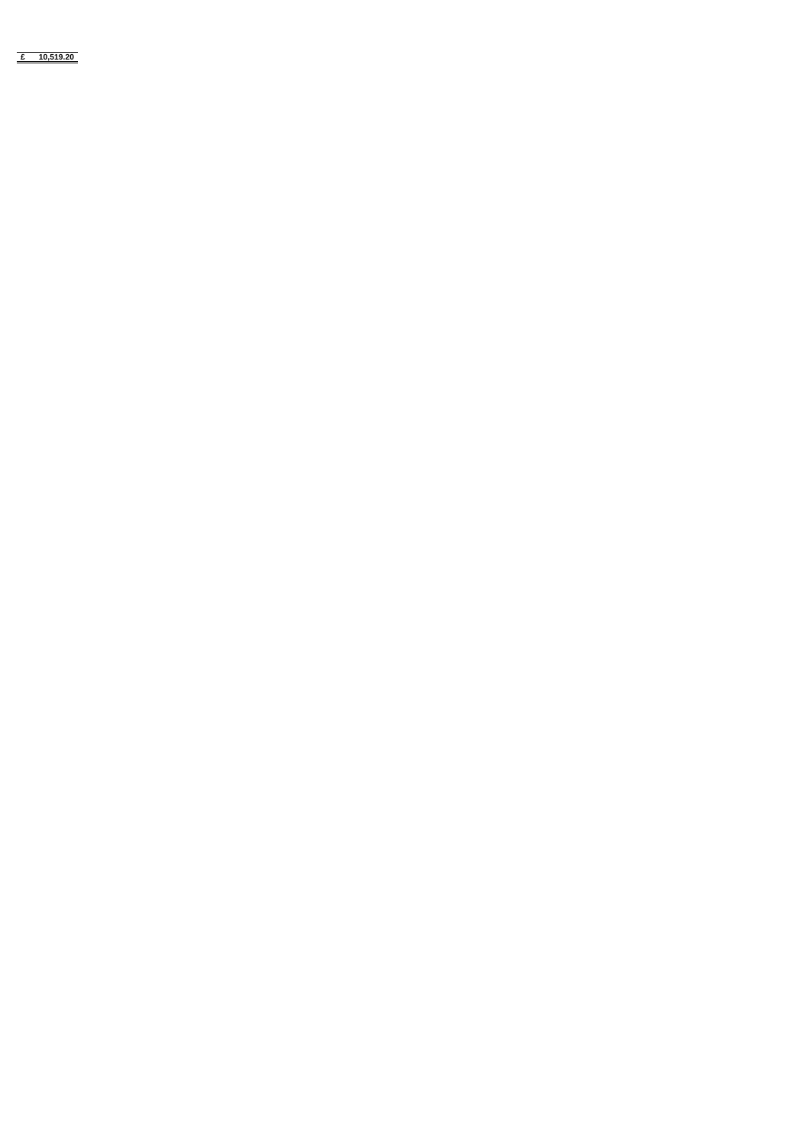**£ 10,519.20**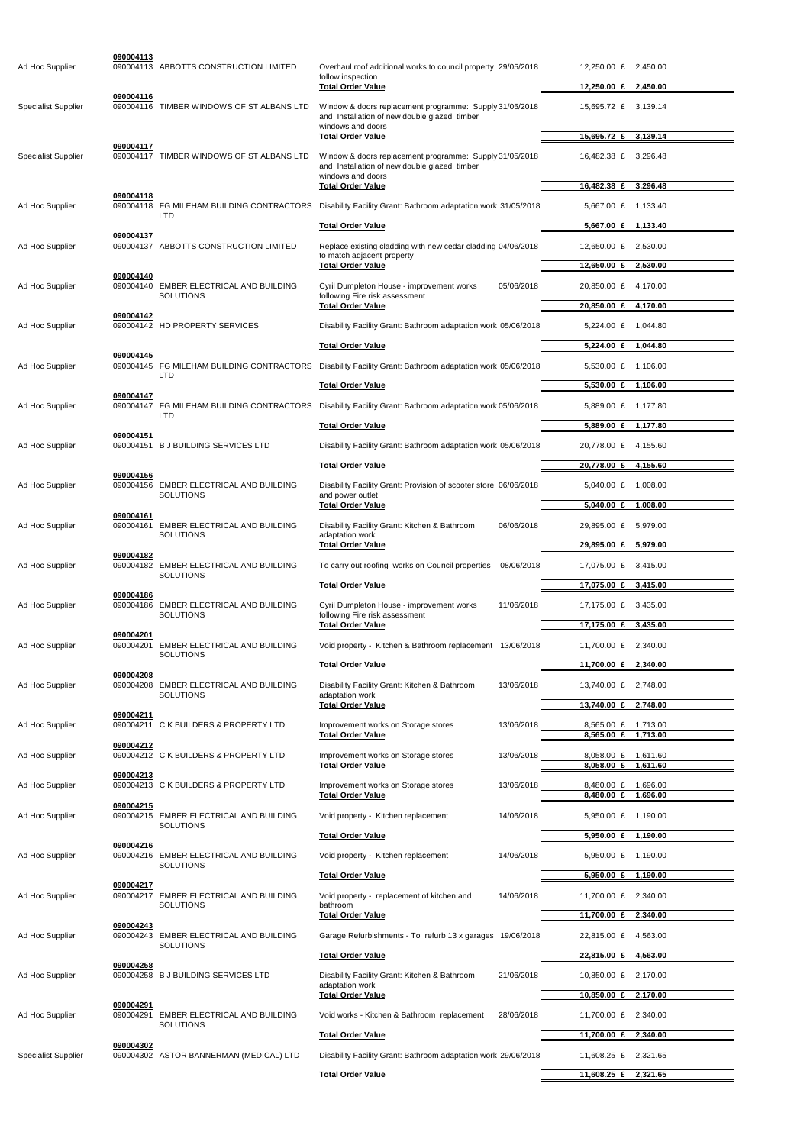| Ad Hoc Supplier            | 090004113              | 090004113 ABBOTTS CONSTRUCTION LIMITED                      | Overhaul roof additional works to council property 29/05/2018<br>follow inspection                                                                       |            | 12,250.00 £ 2,450.00                                              |
|----------------------------|------------------------|-------------------------------------------------------------|----------------------------------------------------------------------------------------------------------------------------------------------------------|------------|-------------------------------------------------------------------|
|                            | 090004116              |                                                             | <b>Total Order Value</b>                                                                                                                                 |            | 12,250.00 £ 2,450.00                                              |
| <b>Specialist Supplier</b> |                        | 090004116 TIMBER WINDOWS OF ST ALBANS LTD                   | Window & doors replacement programme: Supply 31/05/2018<br>and Installation of new double glazed timber<br>windows and doors                             |            | 15,695.72 £ 3,139.14                                              |
|                            | 090004117              |                                                             | <b>Total Order Value</b>                                                                                                                                 |            | 15,695.72 £<br>3,139.14                                           |
| <b>Specialist Supplier</b> |                        | 090004117 TIMBER WINDOWS OF ST ALBANS LTD                   | Window & doors replacement programme: Supply 31/05/2018<br>and Installation of new double glazed timber<br>windows and doors<br><b>Total Order Value</b> |            | 16,482.38 £ 3,296.48<br>16,482.38 £<br>3,296.48                   |
|                            | 090004118              |                                                             |                                                                                                                                                          |            |                                                                   |
| Ad Hoc Supplier            |                        | 090004118 FG MILEHAM BUILDING CONTRACTORS<br><b>LTD</b>     | Disability Facility Grant: Bathroom adaptation work 31/05/2018<br><b>Total Order Value</b>                                                               |            | 5,667.00 £ 1,133.40<br>5,667.00 £ 1,133.40                        |
| Ad Hoc Supplier            | 090004137              | 090004137 ABBOTTS CONSTRUCTION LIMITED                      | Replace existing cladding with new cedar cladding 04/06/2018                                                                                             |            | 12,650.00 £ 2,530.00                                              |
|                            |                        |                                                             | to match adjacent property<br><b>Total Order Value</b>                                                                                                   |            | 12,650.00 £<br>2,530.00                                           |
| Ad Hoc Supplier            | 090004140              | 090004140 EMBER ELECTRICAL AND BUILDING                     | Cyril Dumpleton House - improvement works                                                                                                                | 05/06/2018 | 20,850.00 £<br>4,170.00                                           |
|                            |                        | <b>SOLUTIONS</b>                                            | following Fire risk assessment<br><b>Total Order Value</b>                                                                                               |            | 20,850.00 £ 4,170.00                                              |
| Ad Hoc Supplier            | 090004142              | 090004142 HD PROPERTY SERVICES                              | Disability Facility Grant: Bathroom adaptation work 05/06/2018                                                                                           |            | 5,224.00 £ 1,044.80                                               |
|                            |                        |                                                             | <b>Total Order Value</b>                                                                                                                                 |            | $5,224.00 \text{ } \pounds$<br>1,044.80                           |
| Ad Hoc Supplier            | 090004145              |                                                             | 090004145 FG MILEHAM BUILDING CONTRACTORS Disability Facility Grant: Bathroom adaptation work 05/06/2018                                                 |            | 5,530.00 £<br>1,106.00                                            |
|                            |                        | <b>LTD</b>                                                  | <b>Total Order Value</b>                                                                                                                                 |            | $5,530.00 \text{ } \pounds$<br>1,106.00                           |
| Ad Hoc Supplier            | 090004147              | <b>LTD</b>                                                  | 090004147 FG MILEHAM BUILDING CONTRACTORS Disability Facility Grant: Bathroom adaptation work 05/06/2018                                                 |            | 5,889.00 £ 1,177.80                                               |
|                            |                        |                                                             | <b>Total Order Value</b>                                                                                                                                 |            | 5,889.00 £ 1,177.80                                               |
| Ad Hoc Supplier            | 090004151              | 090004151 B J BUILDING SERVICES LTD                         | Disability Facility Grant: Bathroom adaptation work 05/06/2018                                                                                           |            | 20,778.00 £<br>4,155.60                                           |
|                            |                        |                                                             | <b>Total Order Value</b>                                                                                                                                 |            | 20,778.00 £<br>4,155.60                                           |
|                            | 090004156              |                                                             |                                                                                                                                                          |            |                                                                   |
| Ad Hoc Supplier            |                        | 090004156 EMBER ELECTRICAL AND BUILDING<br><b>SOLUTIONS</b> | Disability Facility Grant: Provision of scooter store 06/06/2018<br>and power outlet<br><b>Total Order Value</b>                                         |            | 5,040.00 £ 1,008.00<br>5,040.00 £ 1,008.00                        |
| Ad Hoc Supplier            | 090004161              | 090004161 EMBER ELECTRICAL AND BUILDING                     | Disability Facility Grant: Kitchen & Bathroom                                                                                                            | 06/06/2018 | 29,895.00 £ 5,979.00                                              |
|                            |                        | <b>SOLUTIONS</b>                                            | adaptation work<br><b>Total Order Value</b>                                                                                                              |            | 29,895.00 £ 5,979.00                                              |
| Ad Hoc Supplier            | 090004182              | 090004182 EMBER ELECTRICAL AND BUILDING<br><b>SOLUTIONS</b> | To carry out roofing works on Council properties 08/06/2018                                                                                              |            | 17,075.00 £ 3,415.00                                              |
|                            |                        |                                                             | <b>Total Order Value</b>                                                                                                                                 |            | 17,075.00 £ 3,415.00                                              |
| Ad Hoc Supplier            | 090004186              | 090004186 EMBER ELECTRICAL AND BUILDING<br><b>SOLUTIONS</b> | Cyril Dumpleton House - improvement works<br>following Fire risk assessment                                                                              | 11/06/2018 | 17,175.00 £<br>3,435.00                                           |
|                            | 090004201              |                                                             | <b>Total Order Value</b>                                                                                                                                 |            | 17,175.00 £<br>3,435.00                                           |
| Ad Hoc Supplier            |                        | 090004201 EMBER ELECTRICAL AND BUILDING<br><b>SOLUTIONS</b> | Void property - Kitchen & Bathroom replacement 13/06/2018                                                                                                |            | 11,700.00 £ 2,340.00                                              |
|                            | 090004208              |                                                             | <b>Total Order Value</b>                                                                                                                                 |            | 11,700.00 £ 2,340.00                                              |
| Ad Hoc Supplier            |                        | 090004208 EMBER ELECTRICAL AND BUILDING<br><b>SOLUTIONS</b> | Disability Facility Grant: Kitchen & Bathroom<br>adaptation work                                                                                         | 13/06/2018 | 13,740.00 £ 2,748.00                                              |
|                            | 090004211              |                                                             | <b>Total Order Value</b>                                                                                                                                 |            | 13,740.00 £<br>2,748.00                                           |
| Ad Hoc Supplier            |                        | 090004211 C K BUILDERS & PROPERTY LTD                       | Improvement works on Storage stores<br><b>Total Order Value</b>                                                                                          | 13/06/2018 | 8,565.00 £ 1,713.00<br>8,565.00 £<br>1,713.00                     |
| Ad Hoc Supplier            | 090004212              | 090004212 C K BUILDERS & PROPERTY LTD                       | Improvement works on Storage stores<br><b>Total Order Value</b>                                                                                          | 13/06/2018 | 8,058.00 £<br>1,611.60<br>$8,058.00 \text{ } \pounds$<br>1,611.60 |
|                            | 090004213              |                                                             |                                                                                                                                                          |            |                                                                   |
| Ad Hoc Supplier            | 090004215              | 090004213 C K BUILDERS & PROPERTY LTD                       | Improvement works on Storage stores<br><b>Total Order Value</b>                                                                                          | 13/06/2018 | 8,480.00 £<br>1,696.00<br>8,480.00 £ 1,696.00                     |
| Ad Hoc Supplier            |                        | 090004215 EMBER ELECTRICAL AND BUILDING                     | Void property - Kitchen replacement                                                                                                                      | 14/06/2018 | 5,950.00 £ 1,190.00                                               |
|                            |                        | <b>SOLUTIONS</b>                                            | <b>Total Order Value</b>                                                                                                                                 |            | 5,950.00 £ 1,190.00                                               |
| Ad Hoc Supplier            | 090004216              | 090004216 EMBER ELECTRICAL AND BUILDING<br><b>SOLUTIONS</b> | Void property - Kitchen replacement                                                                                                                      | 14/06/2018 | 5,950.00 £ 1,190.00                                               |
|                            |                        |                                                             | <b>Total Order Value</b>                                                                                                                                 |            | 5,950.00 £ 1,190.00                                               |
| Ad Hoc Supplier            | 090004217              | 090004217 EMBER ELECTRICAL AND BUILDING<br><b>SOLUTIONS</b> | Void property - replacement of kitchen and<br>bathroom                                                                                                   | 14/06/2018 | 11,700.00 £ 2,340.00                                              |
|                            | 090004243              |                                                             | <b>Total Order Value</b>                                                                                                                                 |            | 11,700.00 £ 2,340.00                                              |
| Ad Hoc Supplier            |                        | 090004243 EMBER ELECTRICAL AND BUILDING<br><b>SOLUTIONS</b> | Garage Refurbishments - To refurb 13 x garages 19/06/2018                                                                                                |            | 22,815.00 £<br>4.563.00                                           |
|                            |                        |                                                             | <b>Total Order Value</b>                                                                                                                                 |            | 22,815.00 £<br>4,563.00                                           |
| Ad Hoc Supplier            | 090004258              | 090004258 B J BUILDING SERVICES LTD                         | Disability Facility Grant: Kitchen & Bathroom                                                                                                            | 21/06/2018 | 10,850.00 £<br>2,170.00                                           |
|                            |                        |                                                             | adaptation work<br><b>Total Order Value</b>                                                                                                              |            | 10,850.00 £ 2,170.00                                              |
| Ad Hoc Supplier            | 090004291<br>090004291 | EMBER ELECTRICAL AND BUILDING<br><b>SOLUTIONS</b>           | Void works - Kitchen & Bathroom replacement                                                                                                              | 28/06/2018 | 11,700.00 £<br>2,340.00                                           |
|                            | 090004302              |                                                             | <b>Total Order Value</b>                                                                                                                                 |            | 11,700.00 £<br>2,340.00                                           |
| <b>Specialist Supplier</b> |                        | 090004302 ASTOR BANNERMAN (MEDICAL) LTD                     | Disability Facility Grant: Bathroom adaptation work 29/06/2018                                                                                           |            | 11,608.25 £<br>2,321.65                                           |
|                            |                        |                                                             | <b>Total Order Value</b>                                                                                                                                 |            | 11,608.25 £<br>2,321.65                                           |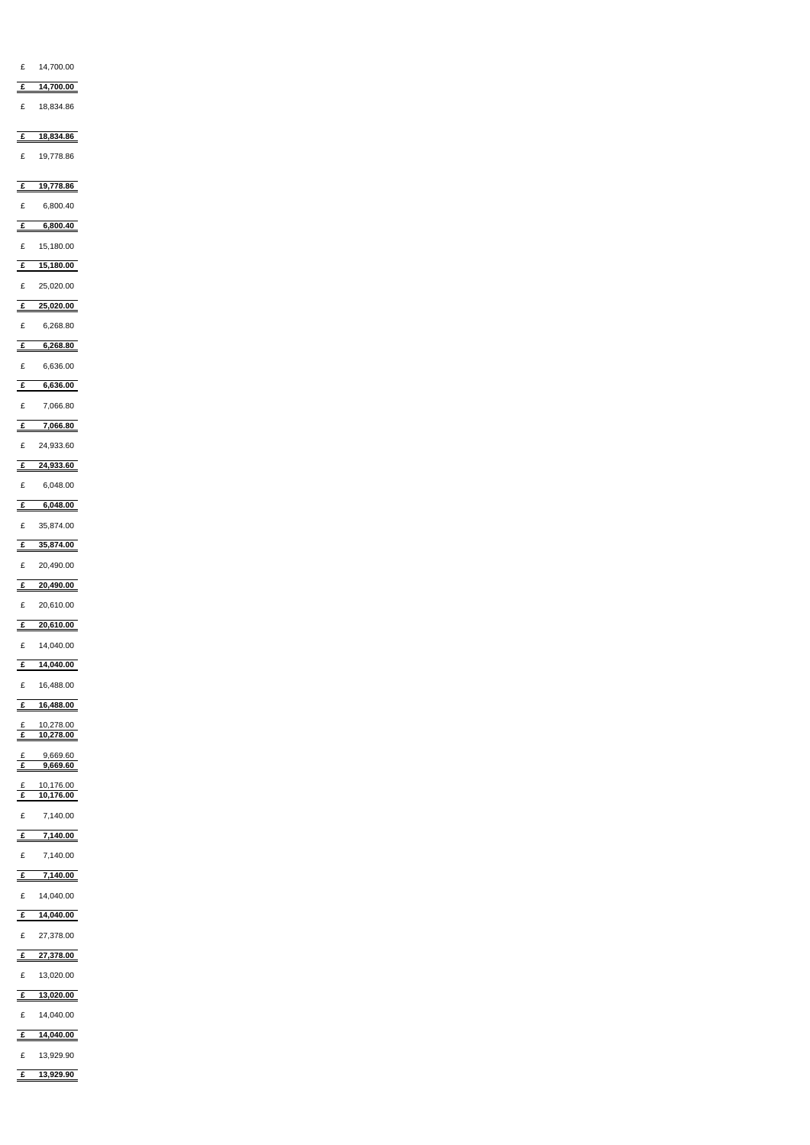| £ $14,700.00$                                           |
|---------------------------------------------------------|
| $E = 14,700.00$                                         |
|                                                         |
| 18,834.86<br>£                                          |
| 18,834.86<br>£                                          |
|                                                         |
| 19,778.86<br>£                                          |
| 19,778.86<br>$\mathbf{f}$                               |
|                                                         |
| 6,800.40<br>£                                           |
| 6,800.40<br>$\mathbf{f}$                                |
| 15,180.00<br>£                                          |
| 15,180.00<br>$\frac{f}{f}$                              |
| 25,020.00<br>£                                          |
|                                                         |
| 25,020.00<br>$\mathbf{f}$                               |
| £<br>6,268.80                                           |
| 6,268.80<br>$\underline{\mathbf{f}}$                    |
| 6,636.00<br>£                                           |
| 6,636.00<br>$\epsilon$                                  |
|                                                         |
| $\pounds$<br>7,066.80                                   |
| 7,066.80<br>£                                           |
| 24,933.60<br>£                                          |
| 24,933.60<br>$\underline{\underline{\mathbf{\hat{f}}}}$ |
|                                                         |
| £<br>6,048.00                                           |
| 6,048.00<br>£                                           |
| 35,874.00<br>£                                          |
| 35,874.00<br>$\mathbf{f}$                               |
| 20,490.00<br>£                                          |
|                                                         |
| 20,490.00<br>$\mathbf{f}$                               |
| 20,610.00<br>£                                          |
| 20,610.00<br>E                                          |
| £ 14,040.00                                             |
|                                                         |
| $\frac{2}{14,040.00}$                                   |
| 16,488.00<br>£                                          |
|                                                         |
| 16,488.00<br>$\mathbf{f}$                               |
| 10,278.00<br>£                                          |
| $\overline{f}$<br>10,278.00                             |
| 9,669.60                                                |
| 9,669.60<br>£                                           |
| 10,176.00                                               |
| $rac{f}{f}$<br>$\overline{10,176.00}$                   |
| £<br>7,140.00                                           |
| 7,140.00<br>$\frac{f}{f}$                               |

| £            | 7,140.00  |
|--------------|-----------|
| £            | 14,040.00 |
| $\mathbf{f}$ | 14,040.00 |
| £            | 27,378.00 |
| £            | 27,378.00 |
| $\pounds$    | 13,020.00 |
| £            | 13,020.00 |
| £            | 14,040.00 |
| £            | 14,040.00 |
| £            | 13,929.90 |
| £            | 13,929.90 |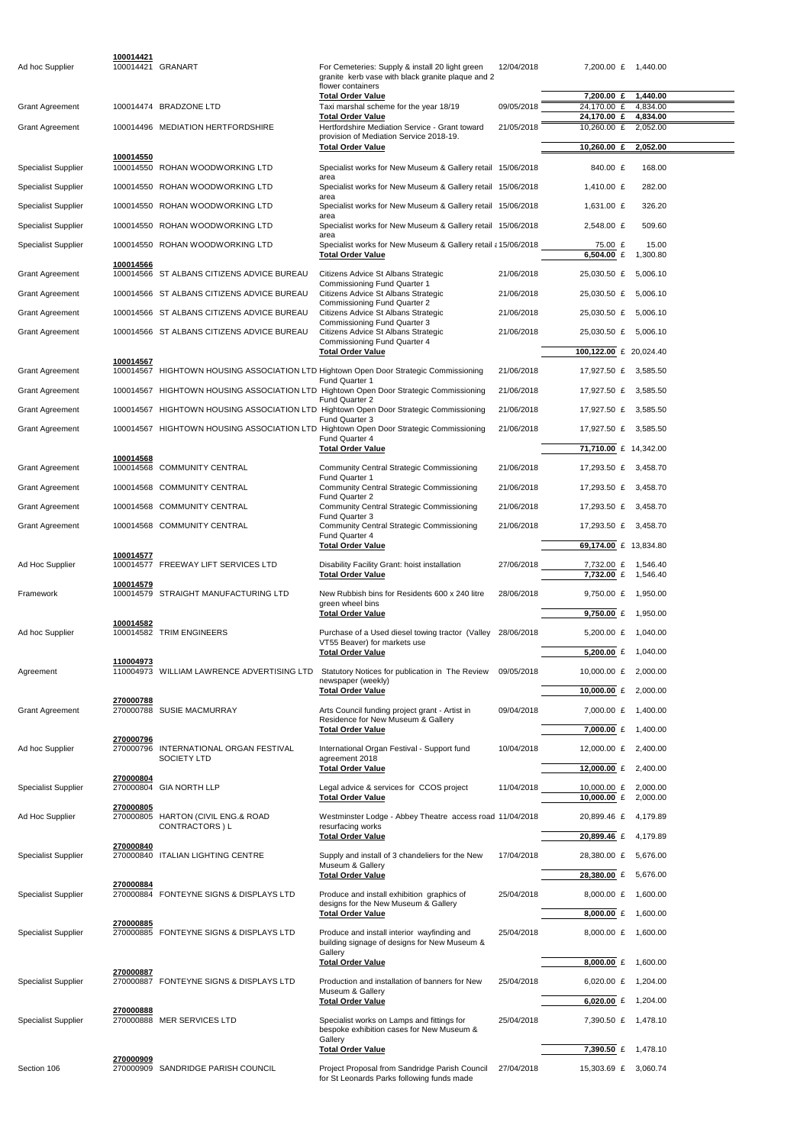| Ad hoc Supplier            | 100014421 | 100014421 GRANART                          | For Cemeteries: Supply & install 20 light green<br>granite kerb vase with black granite plaque and 2           | 12/04/2018 |                             | 7,200.00 £ 1,440.00  |  |
|----------------------------|-----------|--------------------------------------------|----------------------------------------------------------------------------------------------------------------|------------|-----------------------------|----------------------|--|
|                            |           |                                            | flower containers<br><b>Total Order Value</b>                                                                  |            | 7,200.00 £                  | 1,440.00             |  |
| <b>Grant Agreement</b>     |           | 100014474 BRADZONE LTD                     | Taxi marshal scheme for the year 18/19                                                                         | 09/05/2018 | 24,170.00 £                 | 4,834.00             |  |
| <b>Grant Agreement</b>     |           | 100014496 MEDIATION HERTFORDSHIRE          | <b>Total Order Value</b><br>Hertfordshire Mediation Service - Grant toward                                     | 21/05/2018 | 24,170.00 £<br>10,260.00 £  | 4,834.00<br>2,052.00 |  |
|                            |           |                                            | provision of Mediation Service 2018-19.<br><b>Total Order Value</b>                                            |            | 10,260.00 £                 | 2,052.00             |  |
|                            | 100014550 |                                            |                                                                                                                |            |                             |                      |  |
| <b>Specialist Supplier</b> |           | 100014550 ROHAN WOODWORKING LTD            | Specialist works for New Museum & Gallery retail 15/06/2018<br>area                                            |            | 840.00 £                    | 168.00               |  |
| <b>Specialist Supplier</b> |           | 100014550 ROHAN WOODWORKING LTD            | Specialist works for New Museum & Gallery retail 15/06/2018<br>area                                            |            | 1,410.00 £                  | 282.00               |  |
| <b>Specialist Supplier</b> |           | 100014550 ROHAN WOODWORKING LTD            | Specialist works for New Museum & Gallery retail 15/06/2018<br>area                                            |            | 1,631.00 £                  | 326.20               |  |
| <b>Specialist Supplier</b> |           | 100014550 ROHAN WOODWORKING LTD            | Specialist works for New Museum & Gallery retail 15/06/2018                                                    |            | 2,548.00 £                  | 509.60               |  |
| <b>Specialist Supplier</b> |           | 100014550 ROHAN WOODWORKING LTD            | area<br>Specialist works for New Museum & Gallery retail a 15/06/2018                                          |            | 75.00 £<br>6,504.00 $E$     | 15.00<br>1,300.80    |  |
| <b>Grant Agreement</b>     | 100014566 | 100014566 ST ALBANS CITIZENS ADVICE BUREAU | <b>Total Order Value</b><br>Citizens Advice St Albans Strategic                                                | 21/06/2018 | 25,030.50 £                 | 5,006.10             |  |
|                            |           |                                            | Commissioning Fund Quarter 1<br>Citizens Advice St Albans Strategic                                            |            |                             |                      |  |
| <b>Grant Agreement</b>     |           | 100014566 ST ALBANS CITIZENS ADVICE BUREAU | <b>Commissioning Fund Quarter 2</b>                                                                            | 21/06/2018 | 25,030.50 £                 | 5,006.10             |  |
| <b>Grant Agreement</b>     |           | 100014566 ST ALBANS CITIZENS ADVICE BUREAU | Citizens Advice St Albans Strategic<br><b>Commissioning Fund Quarter 3</b>                                     | 21/06/2018 | 25,030.50 £                 | 5,006.10             |  |
| <b>Grant Agreement</b>     |           | 100014566 ST ALBANS CITIZENS ADVICE BUREAU | Citizens Advice St Albans Strategic<br>Commissioning Fund Quarter 4                                            | 21/06/2018 | 25,030.50 £                 | 5,006.10             |  |
|                            | 100014567 |                                            | <b>Total Order Value</b>                                                                                       |            | 100,122.00 £ 20,024.40      |                      |  |
| <b>Grant Agreement</b>     |           |                                            | 100014567 HIGHTOWN HOUSING ASSOCIATION LTD Hightown Open Door Strategic Commissioning<br><b>Fund Quarter 1</b> | 21/06/2018 | 17,927.50 £ 3,585.50        |                      |  |
| <b>Grant Agreement</b>     |           |                                            | 100014567 HIGHTOWN HOUSING ASSOCIATION LTD Hightown Open Door Strategic Commissioning<br><b>Fund Quarter 2</b> | 21/06/2018 | 17,927.50 £ 3,585.50        |                      |  |
| <b>Grant Agreement</b>     |           |                                            | 100014567 HIGHTOWN HOUSING ASSOCIATION LTD Hightown Open Door Strategic Commissioning<br>Fund Quarter 3        | 21/06/2018 | 17,927.50 £                 | 3,585.50             |  |
| <b>Grant Agreement</b>     |           |                                            | 100014567 HIGHTOWN HOUSING ASSOCIATION LTD Hightown Open Door Strategic Commissioning<br><b>Fund Quarter 4</b> | 21/06/2018 | 17,927.50 £ 3,585.50        |                      |  |
|                            | 100014568 |                                            | <b>Total Order Value</b>                                                                                       |            | 71,710.00 £ 14,342.00       |                      |  |
| <b>Grant Agreement</b>     |           | 100014568 COMMUNITY CENTRAL                | <b>Community Central Strategic Commissioning</b>                                                               | 21/06/2018 | 17,293.50 £ 3,458.70        |                      |  |
| <b>Grant Agreement</b>     |           | 100014568 COMMUNITY CENTRAL                | <b>Fund Quarter 1</b><br><b>Community Central Strategic Commissioning</b>                                      | 21/06/2018 | 17,293.50 £                 | 3,458.70             |  |
| <b>Grant Agreement</b>     |           | 100014568 COMMUNITY CENTRAL                | <b>Fund Quarter 2</b><br><b>Community Central Strategic Commissioning</b>                                      | 21/06/2018 | 17,293.50 £ 3,458.70        |                      |  |
| <b>Grant Agreement</b>     |           | 100014568 COMMUNITY CENTRAL                | Fund Quarter 3<br><b>Community Central Strategic Commissioning</b>                                             | 21/06/2018 | 17,293.50 £                 | 3,458.70             |  |
|                            |           |                                            | Fund Quarter 4<br><b>Total Order Value</b>                                                                     |            | 69,174.00 £ 13,834.80       |                      |  |
| Ad Hoc Supplier            | 100014577 | 100014577 FREEWAY LIFT SERVICES LTD        | Disability Facility Grant: hoist installation                                                                  | 27/06/2018 | 7,732.00 £                  | 1.546.40             |  |
|                            | 100014579 |                                            | <b>Total Order Value</b>                                                                                       |            | $7,732.00 \&$               | 1,546.40             |  |
| Framework                  |           | 100014579 STRAIGHT MANUFACTURING LTD       | New Rubbish bins for Residents 600 x 240 litre<br>green wheel bins                                             | 28/06/2018 | 9,750.00 £                  | 1,950.00             |  |
|                            |           |                                            | <b>Total Order Value</b>                                                                                       |            | 9,750.00 £                  | 1,950.00             |  |
| Ad hoc Supplier            | 100014582 | 100014582 TRIM ENGINEERS                   | Purchase of a Used diesel towing tractor (Valley 28/06/2018                                                    |            | 5,200.00 £                  | 1,040.00             |  |
|                            |           |                                            | VT55 Beaver) for markets use<br><b>Total Order Value</b>                                                       |            | 5,200.00 $E$                | 1,040.00             |  |
| Agreement                  | 110004973 | 110004973 WILLIAM LAWRENCE ADVERTISING LTD | Statutory Notices for publication in The Review                                                                | 09/05/2018 | 10,000.00 £                 | 2,000.00             |  |
|                            |           |                                            | newspaper (weekly)<br><b>Total Order Value</b>                                                                 |            | 10,000.00 £                 | 2,000.00             |  |
| <b>Grant Agreement</b>     | 270000788 | 270000788 SUSIE MACMURRAY                  | Arts Council funding project grant - Artist in                                                                 | 09/04/2018 | 7,000.00 £                  | 1,400.00             |  |
|                            |           |                                            | Residence for New Museum & Gallery<br><b>Total Order Value</b>                                                 |            | 7,000.00<br>£               | 1,400.00             |  |
| Ad hoc Supplier            | 270000796 | 270000796 INTERNATIONAL ORGAN FESTIVAL     | International Organ Festival - Support fund                                                                    | 10/04/2018 | 12,000.00 £                 | 2,400.00             |  |
|                            |           | <b>SOCIETY LTD</b>                         | agreement 2018                                                                                                 |            |                             |                      |  |
|                            | 270000804 |                                            | <b>Total Order Value</b>                                                                                       |            | 12,000.00 £                 | 2,400.00             |  |
| <b>Specialist Supplier</b> |           | 270000804 GIA NORTH LLP                    | Legal advice & services for CCOS project<br><b>Total Order Value</b>                                           | 11/04/2018 | 10,000.00 £<br>10,000.00 £  | 2,000.00<br>2,000.00 |  |
| Ad Hoc Supplier            | 270000805 | 270000805 HARTON (CIVIL ENG.& ROAD         | Westminster Lodge - Abbey Theatre access road 11/04/2018                                                       |            | 20,899.46 £                 | 4,179.89             |  |
|                            |           | <b>CONTRACTORS</b> ) L                     | resurfacing works<br><b>Total Order Value</b>                                                                  |            | 20,899.46 £                 | 4,179.89             |  |
| Specialist Supplier        | 270000840 | 270000840 ITALIAN LIGHTING CENTRE          | Supply and install of 3 chandeliers for the New                                                                | 17/04/2018 | 28,380.00 £                 | 5,676.00             |  |
|                            |           |                                            | Museum & Gallery<br><b>Total Order Value</b>                                                                   |            | 28,380.00 £                 | 5,676.00             |  |
| <b>Specialist Supplier</b> | 270000884 | 270000884 FONTEYNE SIGNS & DISPLAYS LTD    | Produce and install exhibition graphics of                                                                     | 25/04/2018 | 8,000.00 £                  | 1,600.00             |  |
|                            |           |                                            | designs for the New Museum & Gallery<br><b>Total Order Value</b>                                               |            | 8,000.00 $E$                | 1,600.00             |  |
|                            | 270000885 |                                            |                                                                                                                |            |                             |                      |  |
| Specialist Supplier        |           | 270000885 FONTEYNE SIGNS & DISPLAYS LTD    | Produce and install interior wayfinding and<br>building signage of designs for New Museum &                    | 25/04/2018 |                             | 8,000.00 £ 1,600.00  |  |
|                            |           |                                            | Gallery<br><b>Total Order Value</b>                                                                            |            | 8,000.00 $E$                | 1,600.00             |  |
| <b>Specialist Supplier</b> | 270000887 | 270000887 FONTEYNE SIGNS & DISPLAYS LTD    | Production and installation of banners for New                                                                 | 25/04/2018 | $6,020.00 \text{ } \pounds$ | 1,204.00             |  |
|                            |           |                                            | Museum & Gallery<br><b>Total Order Value</b>                                                                   |            | 6,020.00 $E$                | 1,204.00             |  |
| <b>Specialist Supplier</b> | 270000888 | 270000888 MER SERVICES LTD                 | Specialist works on Lamps and fittings for                                                                     | 25/04/2018 |                             | 7,390.50 £ 1,478.10  |  |
|                            |           |                                            | bespoke exhibition cases for New Museum &<br>Gallery                                                           |            |                             |                      |  |
|                            | 270000909 |                                            | <b>Total Order Value</b>                                                                                       |            | 7,390.50 £                  | 1,478.10             |  |
| Section 106                |           | 270000909 SANDRIDGE PARISH COUNCIL         | Project Proposal from Sandridge Parish Council<br>for St Leonards Parks following funds made                   | 27/04/2018 | 15,303.69 £                 | 3,060.74             |  |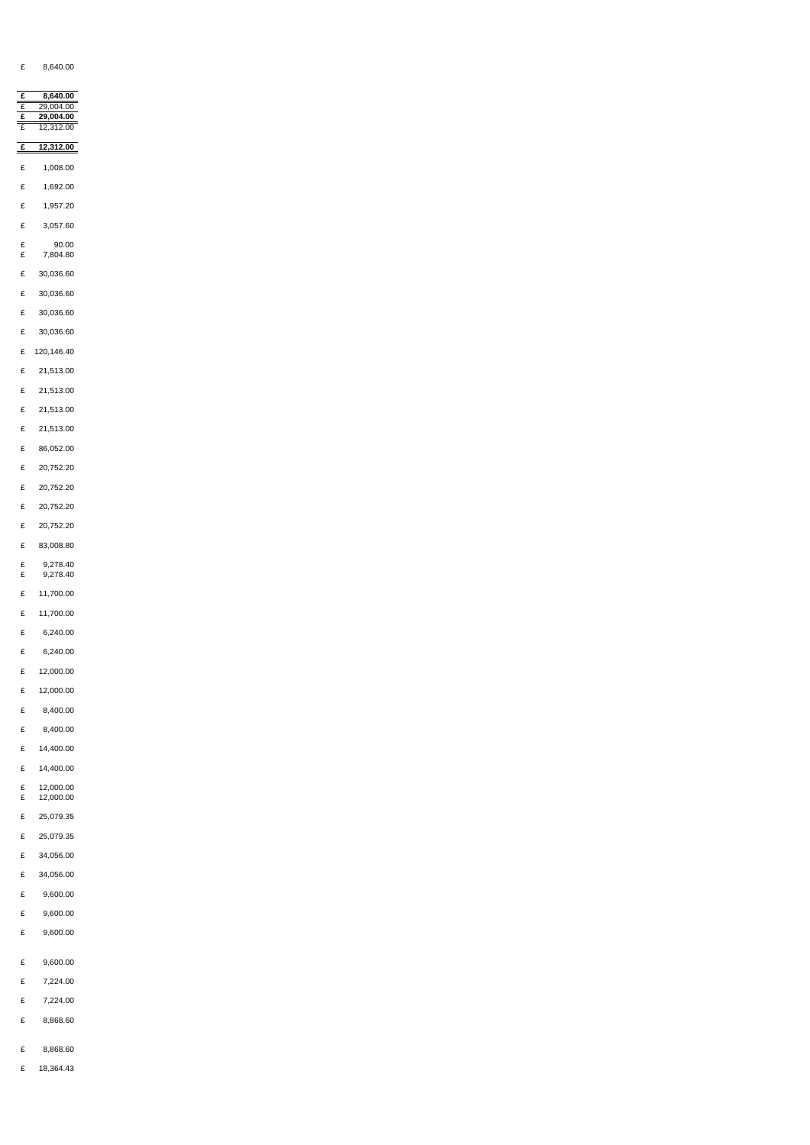£ 8,640.00

|        | 8,640.00          |
|--------|-------------------|
|        | 29,004.00         |
|        | 29,004.00         |
|        | 12,312.00         |
| £      | 12,312.00         |
| £      | 1,008.00          |
| £      | 1,692.00          |
| £      | 1,957.20          |
| £      | 3,057.60          |
| £<br>£ | 90.00<br>7,804.80 |
| £      | 30,036.60         |
| £      | 30,036.60         |
| £      | 30,036.60         |

- £ 30,036.60
- £ 120,146.40
- £ 21,513.00
- £ 21,513.00
- £ 21,513.00
- £ 21,513.00
- £ 86,052.00
- £ 20,752.20
- £ 20,752.20
- £ 20,752.20
- £ 20,752.20
- £ 83,008.80
- $£$  9,278.40<br>£ 9,278.40 £ 9,278.40
- £ 11,700.00
- 
- £ 11,700.00
- £ 6,240.00
- £ 6,240.00
- £ 12,000.00
- £ 12,000.00
- £ 8,400.00
- £ 8,400.00
- £ 14,400.00
- £ 14,400.00
- $E$  12,000.00<br>£ 12,000.00 £ 12,000.00
- 
- £ 25,079.35
- £ 25,079.35
- £ 34,056.00
- £ 34,056.00
- £ 9,600.00
- £ 9,600.00
- £ 9,600.00
- £ 9,600.00
- £ 7,224.00
- £ 7,224.00
- £ 8,868.60
- £ 8,868.60
- £ 18,364.43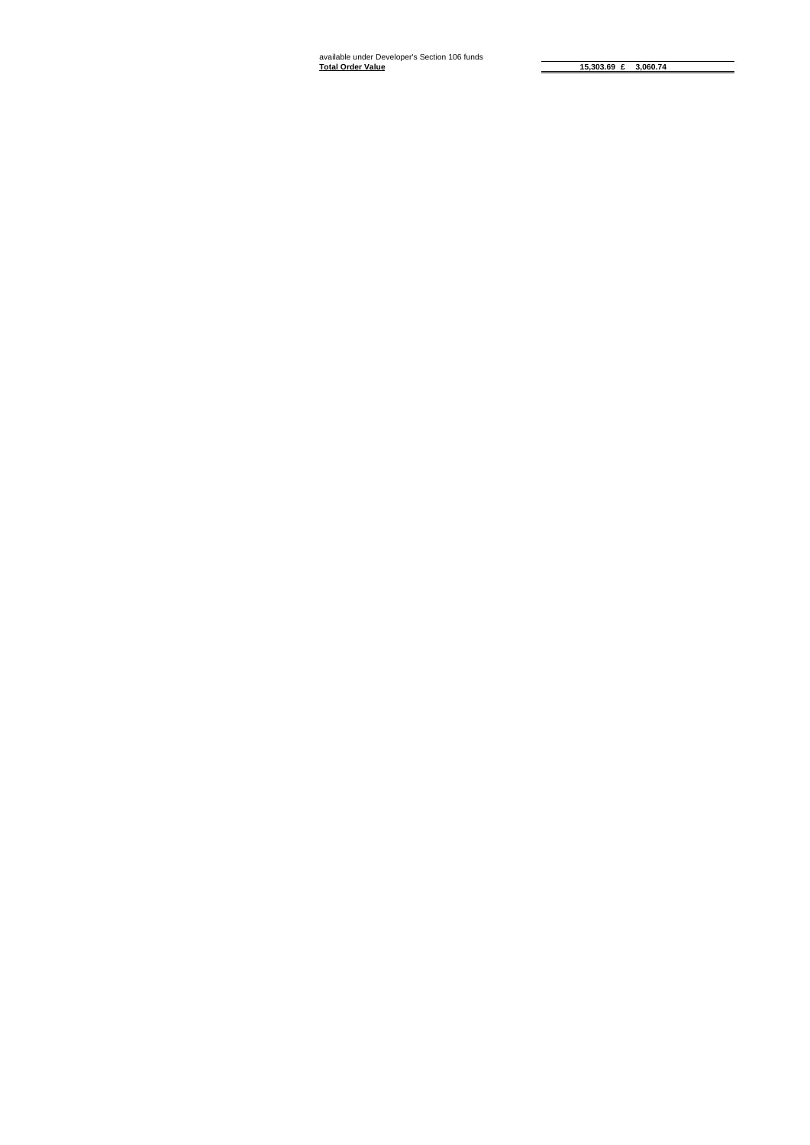**15,303.69 £ 3,060.74**

available under Developer's Section 106 funds **Total Order Value**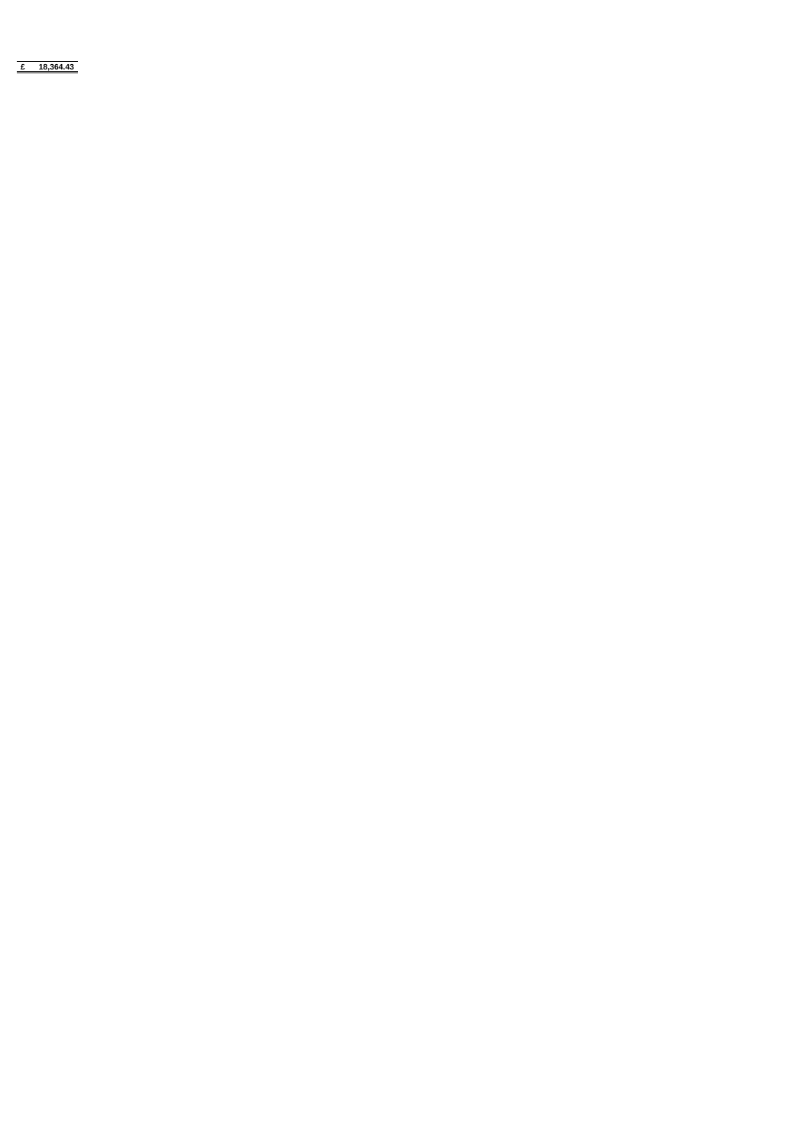**£ 18,364.43**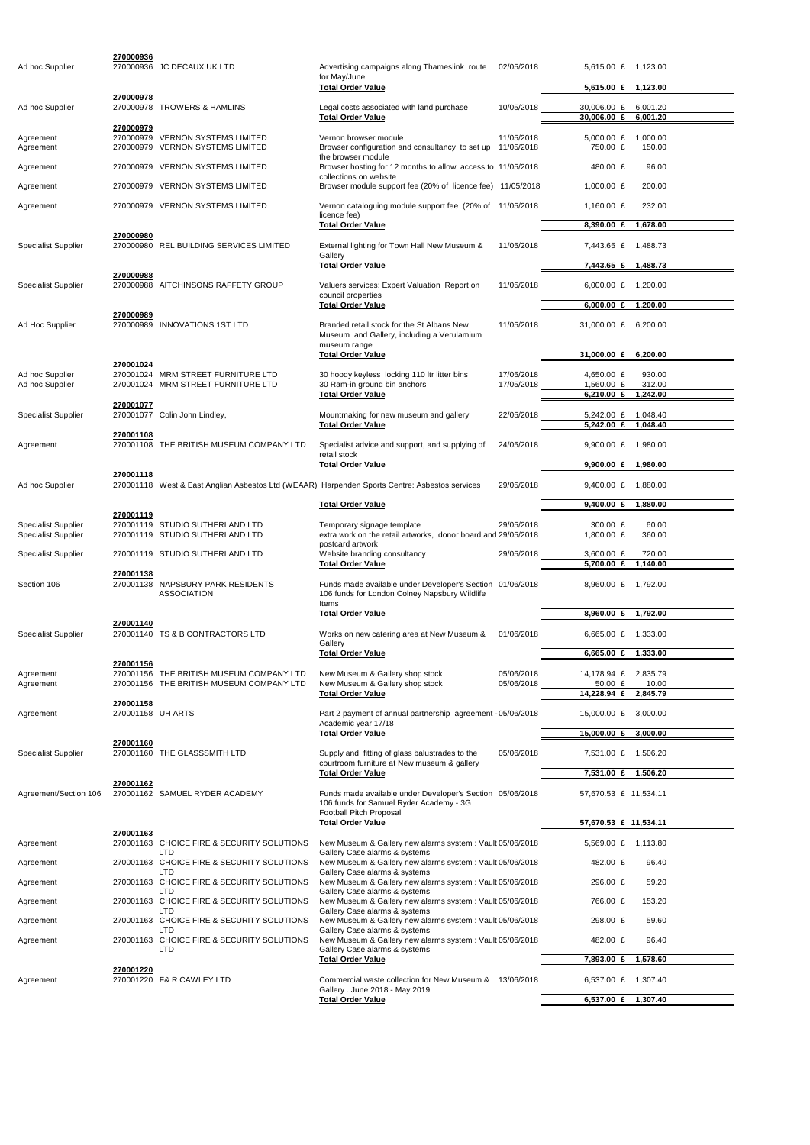| Ad hoc Supplier            | 270000936                      | 270000936 JC DECAUX UK LTD                                                           | Advertising campaigns along Thameslink route<br>for May/June                                                                | 02/05/2018               | 5,615.00 £ 1,123.00         |                      |
|----------------------------|--------------------------------|--------------------------------------------------------------------------------------|-----------------------------------------------------------------------------------------------------------------------------|--------------------------|-----------------------------|----------------------|
|                            |                                |                                                                                      | <b>Total Order Value</b>                                                                                                    |                          | 5,615.00 £                  | 1,123.00             |
| Ad hoc Supplier            | 270000978                      | 270000978 TROWERS & HAMLINS                                                          | Legal costs associated with land purchase<br><b>Total Order Value</b>                                                       | 10/05/2018               | 30,006.00 £<br>30,006.00 £  | 6,001.20<br>6,001.20 |
|                            | 270000979                      |                                                                                      |                                                                                                                             |                          |                             |                      |
| Agreement<br>Agreement     |                                | 270000979 VERNON SYSTEMS LIMITED<br>270000979 VERNON SYSTEMS LIMITED                 | Vernon browser module<br>Browser configuration and consultancy to set up 11/05/2018<br>the browser module                   | 11/05/2018               | 5,000.00 $£$<br>750.00 £    | 1,000.00<br>150.00   |
| Agreement                  |                                | 270000979 VERNON SYSTEMS LIMITED                                                     | Browser hosting for 12 months to allow access to 11/05/2018                                                                 |                          | 480.00 £                    | 96.00                |
| Agreement                  |                                | 270000979 VERNON SYSTEMS LIMITED                                                     | collections on website<br>Browser module support fee (20% of licence fee) 11/05/2018                                        |                          | 1,000.00 $E$                | 200.00               |
|                            |                                |                                                                                      |                                                                                                                             |                          |                             |                      |
| Agreement                  |                                | 270000979 VERNON SYSTEMS LIMITED                                                     | Vernon cataloguing module support fee (20% of 11/05/2018<br>licence fee)<br><b>Total Order Value</b>                        |                          | 1,160.00 £<br>8,390.00 £    | 232.00<br>1,678.00   |
|                            | 270000980                      |                                                                                      |                                                                                                                             |                          |                             |                      |
| <b>Specialist Supplier</b> |                                | 270000980 REL BUILDING SERVICES LIMITED                                              | External lighting for Town Hall New Museum &<br>Gallery<br><b>Total Order Value</b>                                         | 11/05/2018               | 7,443.65 £<br>7,443.65 £    | 1,488.73<br>1,488.73 |
|                            | 270000988                      |                                                                                      |                                                                                                                             |                          |                             |                      |
| <b>Specialist Supplier</b> |                                | 270000988 AITCHINSONS RAFFETY GROUP                                                  | Valuers services: Expert Valuation Report on<br>council properties                                                          | 11/05/2018               | 6,000.00 $E$                | 1.200.00             |
|                            | 270000989                      |                                                                                      | <b>Total Order Value</b>                                                                                                    |                          | $6,000.00 \text{ } \pounds$ | 1,200.00             |
| Ad Hoc Supplier            |                                | 270000989 INNOVATIONS 1ST LTD                                                        | Branded retail stock for the St Albans New<br>Museum and Gallery, including a Verulamium<br>museum range                    | 11/05/2018               | 31,000.00 £                 | 6.200.00             |
|                            |                                |                                                                                      | <b>Total Order Value</b>                                                                                                    |                          | 31,000.00 £                 | 6,200.00             |
| Ad hoc Supplier            | 270001024                      | 270001024 MRM STREET FURNITURE LTD                                                   | 30 hoody keyless locking 110 ltr litter bins                                                                                | 17/05/2018               | 4,650.00 £                  | 930.00               |
| Ad hoc Supplier            |                                | 270001024 MRM STREET FURNITURE LTD                                                   | 30 Ram-in ground bin anchors                                                                                                | 17/05/2018               | 1,560.00 £                  | 312.00               |
|                            | 270001077                      |                                                                                      | <b>Total Order Value</b>                                                                                                    |                          | 6,210.00 £                  | 1,242.00             |
| <b>Specialist Supplier</b> |                                | 270001077 Colin John Lindley,                                                        | Mountmaking for new museum and gallery                                                                                      | 22/05/2018               | 5,242.00 £                  | 1,048.40             |
|                            | 270001108                      |                                                                                      | <b>Total Order Value</b>                                                                                                    |                          | 5,242.00 £                  | 1,048.40             |
| Agreement                  |                                | 270001108 THE BRITISH MUSEUM COMPANY LTD                                             | Specialist advice and support, and supplying of<br>retail stock                                                             | 24/05/2018               | 9,900.00 $E$                | 1,980.00             |
|                            |                                |                                                                                      | <b>Total Order Value</b>                                                                                                    |                          | $9,900.00 \text{ } \pounds$ | 1,980.00             |
| Ad hoc Supplier            | 270001118                      |                                                                                      | 270001118 West & East Anglian Asbestos Ltd (WEAAR) Harpenden Sports Centre: Asbestos services                               | 29/05/2018               | 9,400.00 £ 1,880.00         |                      |
|                            |                                |                                                                                      | <b>Total Order Value</b>                                                                                                    |                          | $9,400.00$ £                | 1,880.00             |
| <b>Specialist Supplier</b> | 270001119                      | 270001119 STUDIO SUTHERLAND LTD                                                      | Temporary signage template                                                                                                  | 29/05/2018               | 300.00 £                    | 60.00                |
| <b>Specialist Supplier</b> |                                | 270001119 STUDIO SUTHERLAND LTD                                                      | extra work on the retail artworks, donor board and 29/05/2018                                                               |                          | 1,800.00 £                  | 360.00               |
| <b>Specialist Supplier</b> |                                | 270001119 STUDIO SUTHERLAND LTD                                                      | postcard artwork<br>Website branding consultancy<br><b>Total Order Value</b>                                                | 29/05/2018               | 3,600.00 $E$<br>5,700.00 £  | 720.00<br>1,140.00   |
| Section 106                | 270001138                      | 270001138 NAPSBURY PARK RESIDENTS                                                    | Funds made available under Developer's Section 01/06/2018                                                                   |                          | 8,960.00 £ 1,792.00         |                      |
|                            |                                | <b>ASSOCIATION</b>                                                                   | 106 funds for London Colney Napsbury Wildlife<br>Items                                                                      |                          |                             |                      |
|                            |                                |                                                                                      | <b>Total Order Value</b>                                                                                                    |                          | 8,960.00 $£$                | 1,792.00             |
| <b>Specialist Supplier</b> | 270001140                      | 270001140 TS & B CONTRACTORS LTD                                                     | Works on new catering area at New Museum &                                                                                  | 01/06/2018               | 6,665.00 £ 1,333.00         |                      |
|                            |                                |                                                                                      | Gallery                                                                                                                     |                          |                             |                      |
|                            | 270001156                      |                                                                                      | <b>Total Order Value</b>                                                                                                    |                          | $6,665.00 \text{ } \pounds$ | 1,333.00             |
| Agreement                  |                                | 270001156 THE BRITISH MUSEUM COMPANY LTD<br>270001156 THE BRITISH MUSEUM COMPANY LTD | New Museum & Gallery shop stock<br>New Museum & Gallery shop stock                                                          | 05/06/2018<br>05/06/2018 | 14,178.94 £<br>50.00 £      | 2,835.79<br>10.00    |
| Agreement                  |                                |                                                                                      | <b>Total Order Value</b>                                                                                                    |                          | 14,228.94 £                 | 2,845.79             |
| Agreement                  | 270001158<br>270001158 UH ARTS |                                                                                      | Part 2 payment of annual partnership agreement - 05/06/2018                                                                 |                          | 15,000.00 £                 | 3,000.00             |
|                            |                                |                                                                                      | Academic year 17/18                                                                                                         |                          |                             |                      |
|                            | 270001160                      |                                                                                      | <b>Total Order Value</b>                                                                                                    |                          | 15,000.00 £ 3,000.00        |                      |
| <b>Specialist Supplier</b> |                                | 270001160 THE GLASSSMITH LTD                                                         | Supply and fitting of glass balustrades to the                                                                              | 05/06/2018               | 7,531.00 £ 1,506.20         |                      |
|                            |                                |                                                                                      | courtroom furniture at New museum & gallery<br><b>Total Order Value</b>                                                     |                          | 7,531.00 £ 1,506.20         |                      |
|                            | 270001162                      |                                                                                      |                                                                                                                             |                          |                             |                      |
| Agreement/Section 106      |                                | 270001162 SAMUEL RYDER ACADEMY                                                       | Funds made available under Developer's Section 05/06/2018<br>106 funds for Samuel Ryder Academy - 3G                        |                          | 57,670.53 £ 11,534.11       |                      |
|                            |                                |                                                                                      | Football Pitch Proposal<br><b>Total Order Value</b>                                                                         |                          | 57,670.53 £ 11,534.11       |                      |
| Agreement                  | 270001163                      | 270001163 CHOICE FIRE & SECURITY SOLUTIONS                                           | New Museum & Gallery new alarms system : Vault 05/06/2018                                                                   |                          | 5,569.00 £                  | 1,113.80             |
| Agreement                  |                                | LTD<br>270001163 CHOICE FIRE & SECURITY SOLUTIONS                                    | Gallery Case alarms & systems<br>New Museum & Gallery new alarms system : Vault 05/06/2018                                  |                          | 482.00 £                    | 96.40                |
|                            |                                | <b>LTD</b>                                                                           | Gallery Case alarms & systems                                                                                               |                          |                             |                      |
| Agreement                  |                                | 270001163 CHOICE FIRE & SECURITY SOLUTIONS<br><b>LTD</b>                             | New Museum & Gallery new alarms system : Vault 05/06/2018<br>Gallery Case alarms & systems                                  |                          | 296.00 £                    | 59.20                |
| Agreement                  |                                | 270001163 CHOICE FIRE & SECURITY SOLUTIONS<br>LTD                                    | New Museum & Gallery new alarms system : Vault 05/06/2018<br>Gallery Case alarms & systems                                  |                          | 766.00 £                    | 153.20               |
| Agreement                  |                                | 270001163 CHOICE FIRE & SECURITY SOLUTIONS                                           | New Museum & Gallery new alarms system : Vault 05/06/2018                                                                   |                          | 298.00 £                    | 59.60                |
| Agreement                  |                                | <b>LTD</b><br>270001163 CHOICE FIRE & SECURITY SOLUTIONS<br><b>LTD</b>               | Gallery Case alarms & systems<br>New Museum & Gallery new alarms system : Vault 05/06/2018<br>Gallery Case alarms & systems |                          | 482.00 £                    | 96.40                |
|                            |                                |                                                                                      | <b>Total Order Value</b>                                                                                                    |                          | 7,893.00 £                  | 1,578.60             |
| Agreement                  | 270001220                      | 270001220 F& R CAWLEY LTD                                                            | Commercial waste collection for New Museum & 13/06/2018                                                                     |                          | 6,537.00 £ 1,307.40         |                      |
|                            |                                |                                                                                      | Gallery . June 2018 - May 2019                                                                                              |                          |                             |                      |
|                            |                                |                                                                                      | <b>Total Order Value</b>                                                                                                    |                          | 6,537.00 £ 1,307.40         |                      |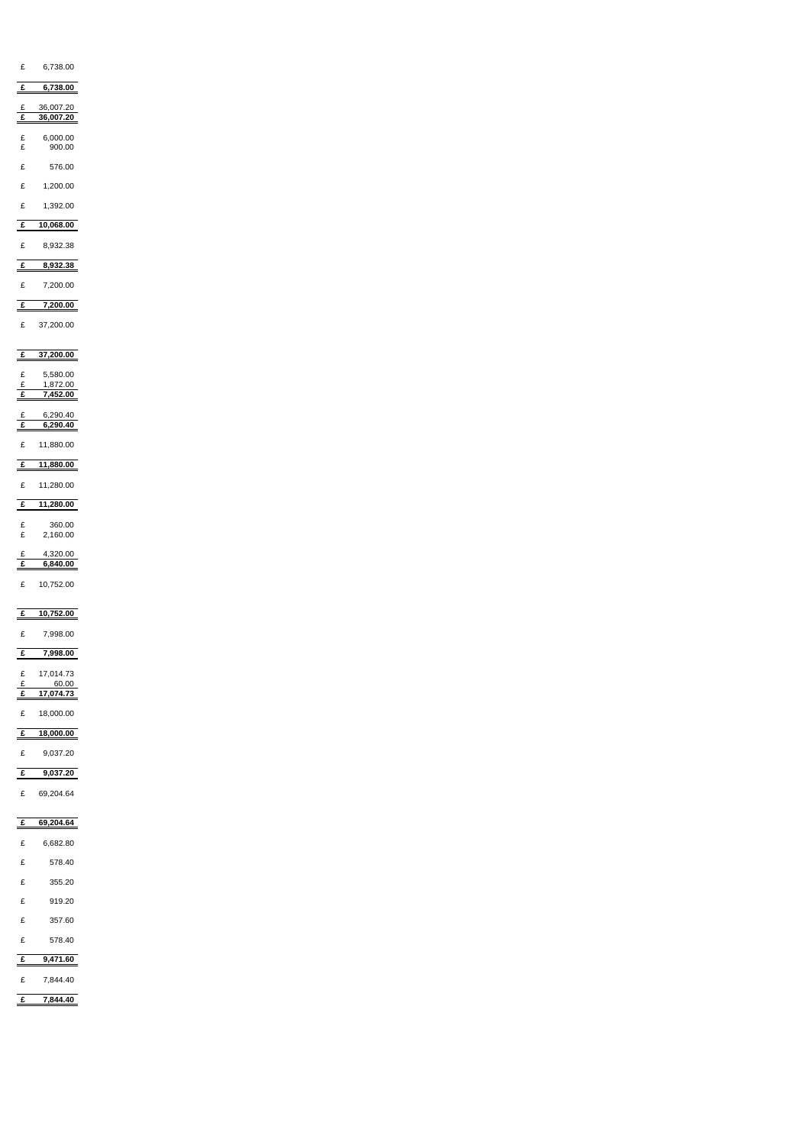| 6,738.00<br>£                                     |  |  |
|---------------------------------------------------|--|--|
|                                                   |  |  |
| $\triangleq$<br>6,738.00                          |  |  |
| 36,007.20<br>E<br>$\overline{f}$<br>36,007.20     |  |  |
| $\pounds$<br>6,000.00<br>£<br>900.00              |  |  |
| £<br>576.00                                       |  |  |
| 1,200.00<br>£                                     |  |  |
| £<br>1,392.00                                     |  |  |
| 10,068.00<br>$\underline{\underline{\mathbf{f}}}$ |  |  |
| 8,932.38<br>£                                     |  |  |
| 8,932.38<br>$\equiv$                              |  |  |
| 7,200.00<br>£                                     |  |  |
| $\triangleq$<br>7,200.00                          |  |  |
| 37,200.00<br>£                                    |  |  |
| 37,200.00<br>£                                    |  |  |
| 5,580.00<br>£                                     |  |  |
| $\pounds$<br>1,872.00<br>$\mathbf{f}$<br>7,452.00 |  |  |
| 6,290.40<br>$rac{f}{f}$<br>6,290.40               |  |  |
| £<br>11,880.00                                    |  |  |
| 11,880.00<br>£                                    |  |  |
| £ 11,280.00                                       |  |  |
| £ 11,280.00                                       |  |  |
| 360.00<br>£<br>$\pounds$<br>2,160.00              |  |  |
| 4,320.00<br>$\frac{f}{f}$<br>6,840.00             |  |  |
| £ 10,752.00                                       |  |  |
|                                                   |  |  |
| 10,752.00<br>$\mathbf{f}$<br>7,998.00<br>£        |  |  |
| 7,998.00<br>$\mathbf{f}$                          |  |  |
| 17,014.73<br>$\pounds$                            |  |  |
| $\pounds$<br>60.00<br>17,074.73<br>$\triangleq$   |  |  |
| 18,000.00<br>£                                    |  |  |
| 18,000.00<br>$\frac{f}{f}$                        |  |  |
| 9,037.20<br>£                                     |  |  |
| 9,037.20<br>$\triangleq$                          |  |  |
| 69,204.64<br>E                                    |  |  |
| 69,204.64<br>$\mathbf{r}$                         |  |  |
| 6,682.80<br>$\pounds$                             |  |  |
| 578.40<br>$\mathbf{f}$                            |  |  |

| $\overline{\phantom{0}}$ | - - - - - - |
|--------------------------|-------------|
| £                        | 355.20      |
| £                        | 919.20      |
| $\pounds$                | 357.60      |
| £                        | 578.40      |
| £                        | 9,471.60    |
| £                        | 7,844.40    |
| £                        | 7,844.40    |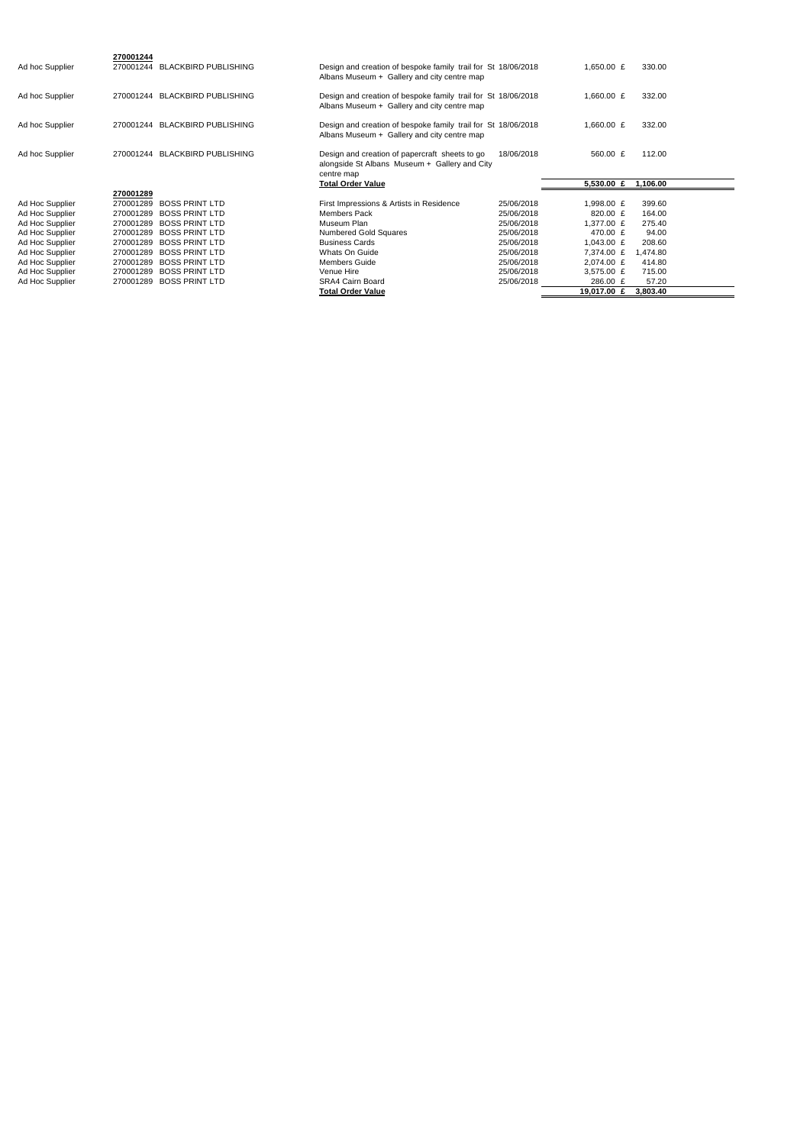| Ad hoc Supplier | 270001244<br>270001244 | <b>BLACKBIRD PUBLISHING</b> | Design and creation of bespoke family trail for St 18/06/2018<br>Albans Museum + Gallery and city centre map  |            | 1,650.00 $E$ | 330.00   |
|-----------------|------------------------|-----------------------------|---------------------------------------------------------------------------------------------------------------|------------|--------------|----------|
| Ad hoc Supplier | 270001244              | <b>BLACKBIRD PUBLISHING</b> | Design and creation of bespoke family trail for St 18/06/2018<br>Albans Museum + Gallery and city centre map  |            | 1,660.00 $E$ | 332.00   |
| Ad hoc Supplier | 270001244              | <b>BLACKBIRD PUBLISHING</b> | Design and creation of bespoke family trail for St 18/06/2018<br>Albans Museum + Gallery and city centre map  |            | 1,660.00 $E$ | 332.00   |
| Ad hoc Supplier | 270001244              | <b>BLACKBIRD PUBLISHING</b> | Design and creation of papercraft sheets to go<br>alongside St Albans Museum + Gallery and City<br>centre map | 18/06/2018 | 560.00 £     | 112.00   |
|                 |                        |                             |                                                                                                               |            |              |          |
|                 |                        |                             | <b>Total Order Value</b>                                                                                      |            | 5,530.00 $E$ | 1,106.00 |
|                 | 270001289              |                             |                                                                                                               |            |              |          |
| Ad Hoc Supplier | 270001289              | <b>BOSS PRINT LTD</b>       | First Impressions & Artists in Residence                                                                      | 25/06/2018 | 1,998.00 £   | 399.60   |
| Ad Hoc Supplier | 270001289              | <b>BOSS PRINT LTD</b>       | <b>Members Pack</b>                                                                                           | 25/06/2018 | 820.00 £     | 164.00   |
| Ad Hoc Supplier | 270001289              | <b>BOSS PRINT LTD</b>       | Museum Plan                                                                                                   | 25/06/2018 | 1,377.00 £   | 275.40   |
| Ad Hoc Supplier | 270001289              | <b>BOSS PRINT LTD</b>       | Numbered Gold Squares                                                                                         | 25/06/2018 | 470.00 £     | 94.00    |
| Ad Hoc Supplier | 270001289              | <b>BOSS PRINT LTD</b>       | <b>Business Cards</b>                                                                                         | 25/06/2018 | 1,043.00 $E$ | 208.60   |
| Ad Hoc Supplier | 270001289              | <b>BOSS PRINT LTD</b>       | Whats On Guide                                                                                                | 25/06/2018 | 7,374.00 £   | 1,474.80 |
| Ad Hoc Supplier | 270001289              | <b>BOSS PRINT LTD</b>       | <b>Members Guide</b>                                                                                          | 25/06/2018 | 2,074.00 £   | 414.80   |
| Ad Hoc Supplier | 270001289              | <b>BOSS PRINT LTD</b>       | Venue Hire                                                                                                    | 25/06/2018 | 3,575.00 £   | 715.00   |
| Ad Hoc Supplier | 270001289              | <b>BOSS PRINT LTD</b>       | <b>SRA4 Cairn Board</b>                                                                                       | 25/06/2018 | 286.00 £     | 57.20    |